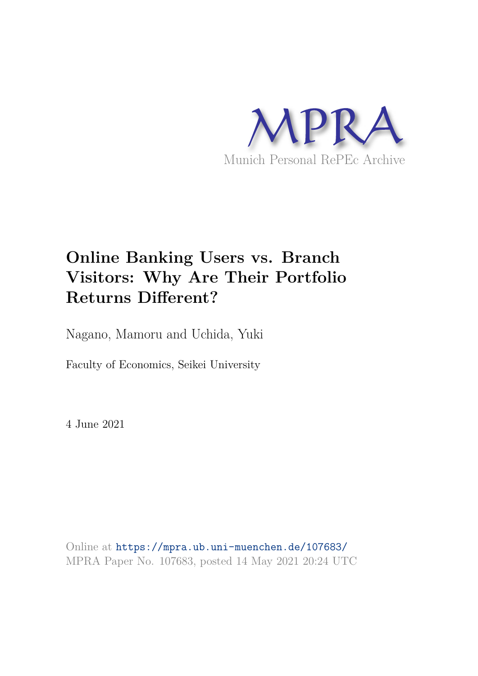

# **Online Banking Users vs. Branch Visitors: Why Are Their Portfolio Returns Different?**

Nagano, Mamoru and Uchida, Yuki

Faculty of Economics, Seikei University

4 June 2021

Online at https://mpra.ub.uni-muenchen.de/107683/ MPRA Paper No. 107683, posted 14 May 2021 20:24 UTC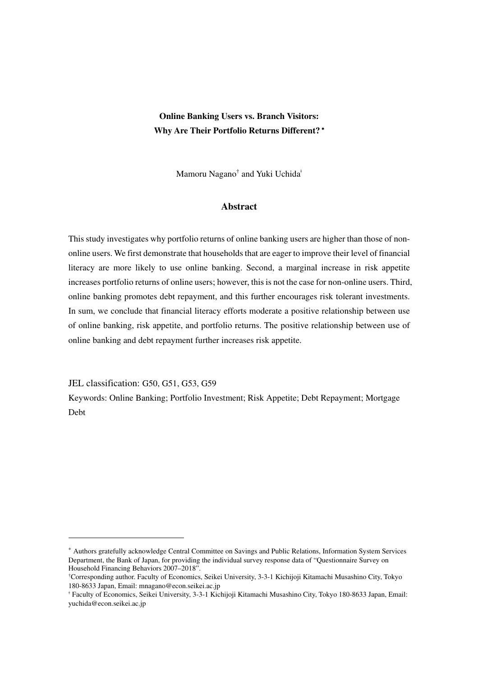# **Online Banking Users vs. Branch Visitors: Why Are Their Portfolio Returns Different?** <sup>∗</sup>

Mamoru Nagano<sup>†</sup> and Yuki Uchida<sup>‡</sup>

# **Abstract**

This study investigates why portfolio returns of online banking users are higher than those of nononline users. We first demonstrate that households that are eager to improve their level of financial literacy are more likely to use online banking. Second, a marginal increase in risk appetite increases portfolio returns of online users; however, this is not the case for non-online users. Third, online banking promotes debt repayment, and this further encourages risk tolerant investments. In sum, we conclude that financial literacy efforts moderate a positive relationship between use of online banking, risk appetite, and portfolio returns. The positive relationship between use of online banking and debt repayment further increases risk appetite.

JEL classification: G50, G51, G53, G59

-

Keywords: Online Banking; Portfolio Investment; Risk Appetite; Debt Repayment; Mortgage Debt

<sup>∗</sup> Authors gratefully acknowledge Central Committee on Savings and Public Relations, Information System Services Department, the Bank of Japan, for providing the individual survey response data of "Questionnaire Survey on Household Financing Behaviors 2007–2018".

<sup>†</sup>Corresponding author. Faculty of Economics, Seikei University, 3-3-1 Kichijoji Kitamachi Musashino City, Tokyo 180-8633 Japan, Email: mnagano@econ.seikei.ac.jp

<sup>ǂ</sup> Faculty of Economics, Seikei University, 3-3-1 Kichijoji Kitamachi Musashino City, Tokyo 180-8633 Japan, Email: yuchida@econ.seikei.ac.jp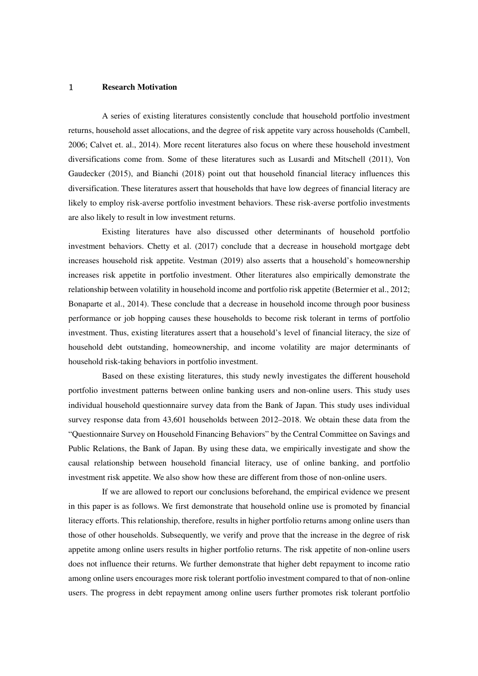#### 1 **Research Motivation**

A series of existing literatures consistently conclude that household portfolio investment returns, household asset allocations, and the degree of risk appetite vary across households (Cambell, 2006; Calvet et. al., 2014). More recent literatures also focus on where these household investment diversifications come from. Some of these literatures such as Lusardi and Mitschell (2011), Von Gaudecker (2015), and Bianchi (2018) point out that household financial literacy influences this diversification. These literatures assert that households that have low degrees of financial literacy are likely to employ risk-averse portfolio investment behaviors. These risk-averse portfolio investments are also likely to result in low investment returns.

Existing literatures have also discussed other determinants of household portfolio investment behaviors. Chetty et al. (2017) conclude that a decrease in household mortgage debt increases household risk appetite. Vestman (2019) also asserts that a household's homeownership increases risk appetite in portfolio investment. Other literatures also empirically demonstrate the relationship between volatility in household income and portfolio risk appetite (Betermier et al., 2012; Bonaparte et al., 2014). These conclude that a decrease in household income through poor business performance or job hopping causes these households to become risk tolerant in terms of portfolio investment. Thus, existing literatures assert that a household's level of financial literacy, the size of household debt outstanding, homeownership, and income volatility are major determinants of household risk-taking behaviors in portfolio investment.

Based on these existing literatures, this study newly investigates the different household portfolio investment patterns between online banking users and non-online users. This study uses individual household questionnaire survey data from the Bank of Japan. This study uses individual survey response data from 43,601 households between 2012–2018. We obtain these data from the "Questionnaire Survey on Household Financing Behaviors" by the Central Committee on Savings and Public Relations, the Bank of Japan. By using these data, we empirically investigate and show the causal relationship between household financial literacy, use of online banking, and portfolio investment risk appetite. We also show how these are different from those of non-online users.

If we are allowed to report our conclusions beforehand, the empirical evidence we present in this paper is as follows. We first demonstrate that household online use is promoted by financial literacy efforts. This relationship, therefore, results in higher portfolio returns among online users than those of other households. Subsequently, we verify and prove that the increase in the degree of risk appetite among online users results in higher portfolio returns. The risk appetite of non-online users does not influence their returns. We further demonstrate that higher debt repayment to income ratio among online users encourages more risk tolerant portfolio investment compared to that of non-online users. The progress in debt repayment among online users further promotes risk tolerant portfolio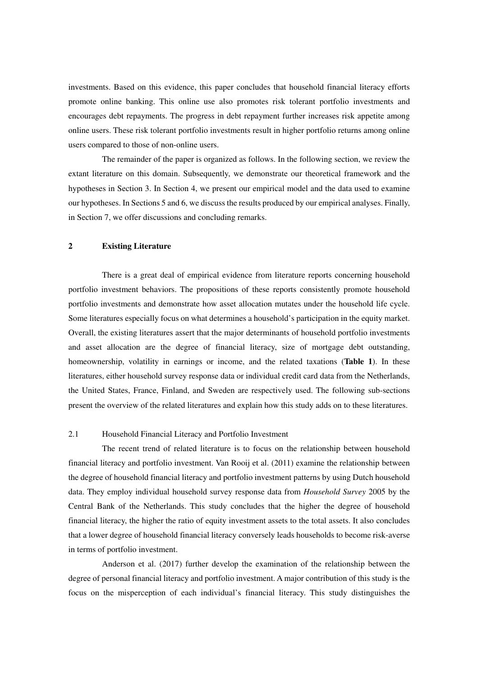investments. Based on this evidence, this paper concludes that household financial literacy efforts promote online banking. This online use also promotes risk tolerant portfolio investments and encourages debt repayments. The progress in debt repayment further increases risk appetite among online users. These risk tolerant portfolio investments result in higher portfolio returns among online users compared to those of non-online users.

The remainder of the paper is organized as follows. In the following section, we review the extant literature on this domain. Subsequently, we demonstrate our theoretical framework and the hypotheses in Section 3. In Section 4, we present our empirical model and the data used to examine our hypotheses. In Sections 5 and 6, we discuss the results produced by our empirical analyses. Finally, in Section 7, we offer discussions and concluding remarks.

#### **2 Existing Literature**

There is a great deal of empirical evidence from literature reports concerning household portfolio investment behaviors. The propositions of these reports consistently promote household portfolio investments and demonstrate how asset allocation mutates under the household life cycle. Some literatures especially focus on what determines a household's participation in the equity market. Overall, the existing literatures assert that the major determinants of household portfolio investments and asset allocation are the degree of financial literacy, size of mortgage debt outstanding, homeownership, volatility in earnings or income, and the related taxations (**Table 1**). In these literatures, either household survey response data or individual credit card data from the Netherlands, the United States, France, Finland, and Sweden are respectively used. The following sub-sections present the overview of the related literatures and explain how this study adds on to these literatures.

# 2.1 Household Financial Literacy and Portfolio Investment

The recent trend of related literature is to focus on the relationship between household financial literacy and portfolio investment. Van Rooij et al. (2011) examine the relationship between the degree of household financial literacy and portfolio investment patterns by using Dutch household data. They employ individual household survey response data from *Household Survey* 2005 by the Central Bank of the Netherlands. This study concludes that the higher the degree of household financial literacy, the higher the ratio of equity investment assets to the total assets. It also concludes that a lower degree of household financial literacy conversely leads households to become risk-averse in terms of portfolio investment.

Anderson et al. (2017) further develop the examination of the relationship between the degree of personal financial literacy and portfolio investment. A major contribution of this study is the focus on the misperception of each individual's financial literacy. This study distinguishes the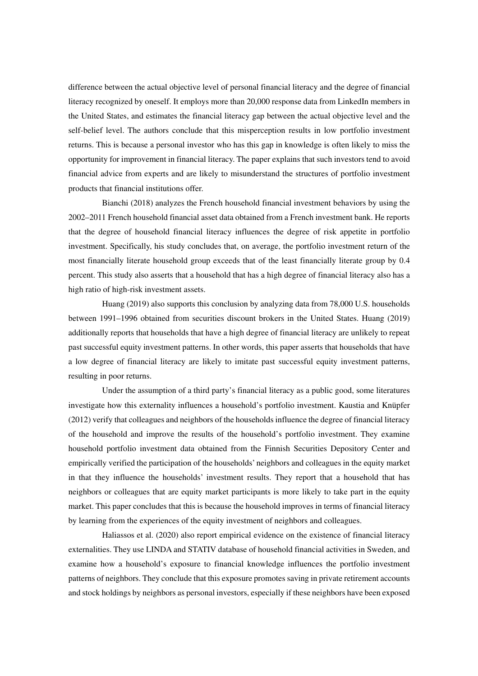difference between the actual objective level of personal financial literacy and the degree of financial literacy recognized by oneself. It employs more than 20,000 response data from LinkedIn members in the United States, and estimates the financial literacy gap between the actual objective level and the self-belief level. The authors conclude that this misperception results in low portfolio investment returns. This is because a personal investor who has this gap in knowledge is often likely to miss the opportunity for improvement in financial literacy. The paper explains that such investors tend to avoid financial advice from experts and are likely to misunderstand the structures of portfolio investment products that financial institutions offer.

Bianchi (2018) analyzes the French household financial investment behaviors by using the 2002–2011 French household financial asset data obtained from a French investment bank. He reports that the degree of household financial literacy influences the degree of risk appetite in portfolio investment. Specifically, his study concludes that, on average, the portfolio investment return of the most financially literate household group exceeds that of the least financially literate group by 0.4 percent. This study also asserts that a household that has a high degree of financial literacy also has a high ratio of high-risk investment assets.

Huang (2019) also supports this conclusion by analyzing data from 78,000 U.S. households between 1991–1996 obtained from securities discount brokers in the United States. Huang (2019) additionally reports that households that have a high degree of financial literacy are unlikely to repeat past successful equity investment patterns. In other words, this paper asserts that households that have a low degree of financial literacy are likely to imitate past successful equity investment patterns, resulting in poor returns.

Under the assumption of a third party's financial literacy as a public good, some literatures investigate how this externality influences a household's portfolio investment. Kaustia and Knüpfer (2012) verify that colleagues and neighbors of the households influence the degree of financial literacy of the household and improve the results of the household's portfolio investment. They examine household portfolio investment data obtained from the Finnish Securities Depository Center and empirically verified the participation of the households' neighbors and colleagues in the equity market in that they influence the households' investment results. They report that a household that has neighbors or colleagues that are equity market participants is more likely to take part in the equity market. This paper concludes that this is because the household improves in terms of financial literacy by learning from the experiences of the equity investment of neighbors and colleagues.

Haliassos et al. (2020) also report empirical evidence on the existence of financial literacy externalities. They use LINDA and STATIV database of household financial activities in Sweden, and examine how a household's exposure to financial knowledge influences the portfolio investment patterns of neighbors. They conclude that this exposure promotes saving in private retirement accounts and stock holdings by neighbors as personal investors, especially if these neighbors have been exposed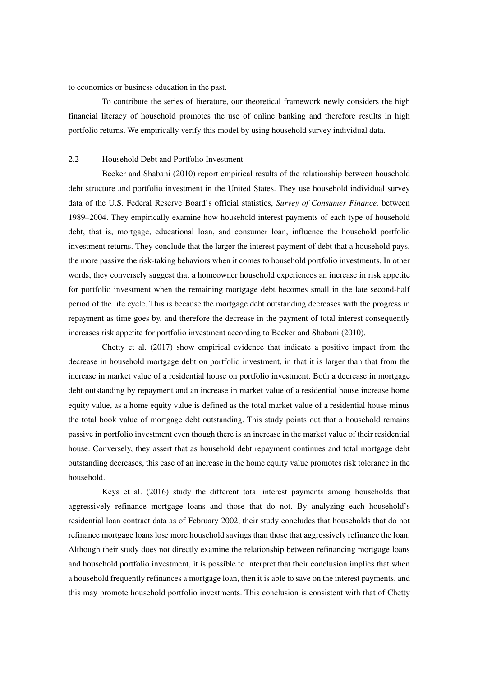to economics or business education in the past.

To contribute the series of literature, our theoretical framework newly considers the high financial literacy of household promotes the use of online banking and therefore results in high portfolio returns. We empirically verify this model by using household survey individual data.

### 2.2 Household Debt and Portfolio Investment

Becker and Shabani (2010) report empirical results of the relationship between household debt structure and portfolio investment in the United States. They use household individual survey data of the U.S. Federal Reserve Board's official statistics, *Survey of Consumer Finance,* between 1989–2004. They empirically examine how household interest payments of each type of household debt, that is, mortgage, educational loan, and consumer loan, influence the household portfolio investment returns. They conclude that the larger the interest payment of debt that a household pays, the more passive the risk-taking behaviors when it comes to household portfolio investments. In other words, they conversely suggest that a homeowner household experiences an increase in risk appetite for portfolio investment when the remaining mortgage debt becomes small in the late second-half period of the life cycle. This is because the mortgage debt outstanding decreases with the progress in repayment as time goes by, and therefore the decrease in the payment of total interest consequently increases risk appetite for portfolio investment according to Becker and Shabani (2010).

Chetty et al. (2017) show empirical evidence that indicate a positive impact from the decrease in household mortgage debt on portfolio investment, in that it is larger than that from the increase in market value of a residential house on portfolio investment. Both a decrease in mortgage debt outstanding by repayment and an increase in market value of a residential house increase home equity value, as a home equity value is defined as the total market value of a residential house minus the total book value of mortgage debt outstanding. This study points out that a household remains passive in portfolio investment even though there is an increase in the market value of their residential house. Conversely, they assert that as household debt repayment continues and total mortgage debt outstanding decreases, this case of an increase in the home equity value promotes risk tolerance in the household.

Keys et al. (2016) study the different total interest payments among households that aggressively refinance mortgage loans and those that do not. By analyzing each household's residential loan contract data as of February 2002, their study concludes that households that do not refinance mortgage loans lose more household savings than those that aggressively refinance the loan. Although their study does not directly examine the relationship between refinancing mortgage loans and household portfolio investment, it is possible to interpret that their conclusion implies that when a household frequently refinances a mortgage loan, then it is able to save on the interest payments, and this may promote household portfolio investments. This conclusion is consistent with that of Chetty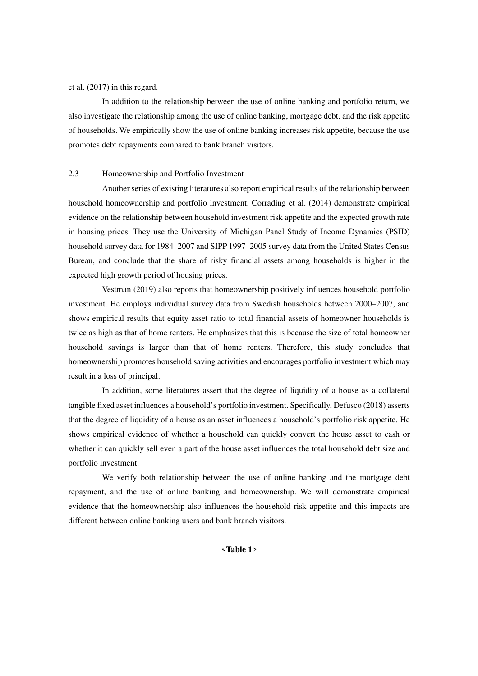#### et al. (2017) in this regard.

In addition to the relationship between the use of online banking and portfolio return, we also investigate the relationship among the use of online banking, mortgage debt, and the risk appetite of households. We empirically show the use of online banking increases risk appetite, because the use promotes debt repayments compared to bank branch visitors.

#### 2.3 Homeownership and Portfolio Investment

Another series of existing literatures also report empirical results of the relationship between household homeownership and portfolio investment. Corrading et al. (2014) demonstrate empirical evidence on the relationship between household investment risk appetite and the expected growth rate in housing prices. They use the University of Michigan Panel Study of Income Dynamics (PSID) household survey data for 1984–2007 and SIPP 1997–2005 survey data from the United States Census Bureau, and conclude that the share of risky financial assets among households is higher in the expected high growth period of housing prices.

Vestman (2019) also reports that homeownership positively influences household portfolio investment. He employs individual survey data from Swedish households between 2000–2007, and shows empirical results that equity asset ratio to total financial assets of homeowner households is twice as high as that of home renters. He emphasizes that this is because the size of total homeowner household savings is larger than that of home renters. Therefore, this study concludes that homeownership promotes household saving activities and encourages portfolio investment which may result in a loss of principal.

In addition, some literatures assert that the degree of liquidity of a house as a collateral tangible fixed asset influences a household's portfolio investment. Specifically, Defusco (2018) asserts that the degree of liquidity of a house as an asset influences a household's portfolio risk appetite. He shows empirical evidence of whether a household can quickly convert the house asset to cash or whether it can quickly sell even a part of the house asset influences the total household debt size and portfolio investment.

We verify both relationship between the use of online banking and the mortgage debt repayment, and the use of online banking and homeownership. We will demonstrate empirical evidence that the homeownership also influences the household risk appetite and this impacts are different between online banking users and bank branch visitors.

#### <**Table 1**>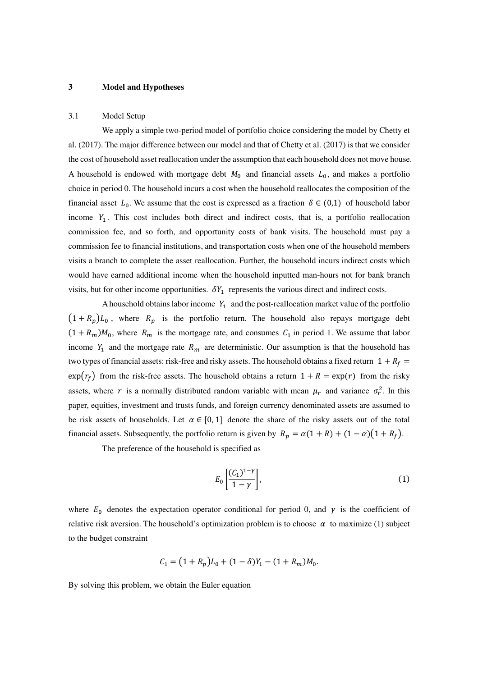# **3 Model and Hypotheses**

#### 3.1 Model Setup

We apply a simple two-period model of portfolio choice considering the model by Chetty et al. (2017). The major difference between our model and that of Chetty et al. (2017) is that we consider the cost of household asset reallocation under the assumption that each household does not move house. A household is endowed with mortgage debt  $M_0$  and financial assets  $L_0$ , and makes a portfolio choice in period 0. The household incurs a cost when the household reallocates the composition of the financial asset  $L_0$ . We assume that the cost is expressed as a fraction  $\delta \in (0,1)$  of household labor income  $Y_1$ . This cost includes both direct and indirect costs, that is, a portfolio reallocation commission fee, and so forth, and opportunity costs of bank visits. The household must pay a commission fee to financial institutions, and transportation costs when one of the household members visits a branch to complete the asset reallocation. Further, the household incurs indirect costs which would have earned additional income when the household inputted man-hours not for bank branch visits, but for other income opportunities.  $\delta Y_1$  represents the various direct and indirect costs.

A household obtains labor income  $Y_1$  and the post-reallocation market value of the portfolio  $(1 + R_p)L_0$ , where  $R_p$  is the portfolio return. The household also repays mortgage debt  $(1 + R_m)M_0$ , where  $R_m$  is the mortgage rate, and consumes  $C_1$  in period 1. We assume that labor income  $Y_1$  and the mortgage rate  $R_m$  are deterministic. Our assumption is that the household has two types of financial assets: risk-free and risky assets. The household obtains a fixed return  $1 + R_f =$  $\exp(r_f)$  from the risk-free assets. The household obtains a return  $1 + R = \exp(r)$  from the risky assets, where r is a normally distributed random variable with mean  $\mu_r$  and variance  $\sigma_r^2$ . In this paper, equities, investment and trusts funds, and foreign currency denominated assets are assumed to be risk assets of households. Let  $\alpha \in [0, 1]$  denote the share of the risky assets out of the total financial assets. Subsequently, the portfolio return is given by  $R_p = \alpha(1 + R) + (1 - \alpha)(1 + R_f)$ .

The preference of the household is specified as

$$
E_0\left[\frac{(C_1)^{1-\gamma}}{1-\gamma}\right],\tag{1}
$$

where  $E_0$  denotes the expectation operator conditional for period 0, and  $\gamma$  is the coefficient of relative risk aversion. The household's optimization problem is to choose  $\alpha$  to maximize (1) subject to the budget constraint

$$
C_1 = (1 + R_p)L_0 + (1 - \delta)Y_1 - (1 + R_m)M_0.
$$

By solving this problem, we obtain the Euler equation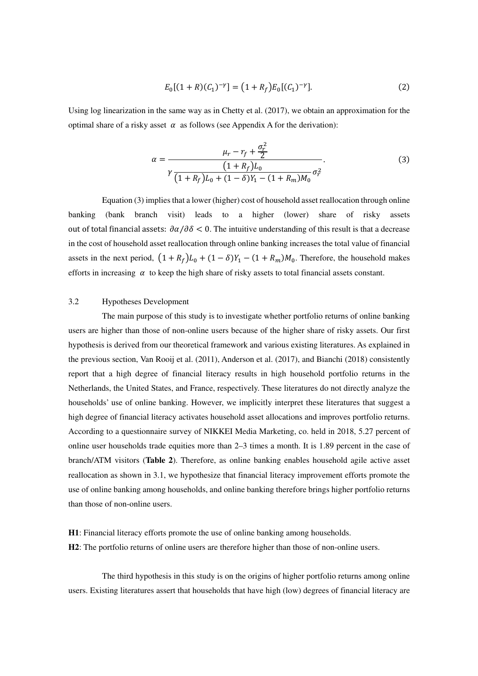$$
E_0[(1+R)(C_1)^{-\gamma}] = (1+R_f)E_0[(C_1)^{-\gamma}].
$$
\n(2)

Using log linearization in the same way as in Chetty et al. (2017), we obtain an approximation for the optimal share of a risky asset  $\alpha$  as follows (see Appendix A for the derivation):

$$
\alpha = \frac{\mu_r - r_f + \frac{\sigma_r^2}{2}}{\gamma \frac{(1 + R_f)L_0}{(1 + R_f)L_0 + (1 - \delta)Y_1 - (1 + R_m)M_0} \sigma_r^2}.
$$
\n(3)

Equation (3) implies that a lower (higher) cost of household asset reallocation through online banking (bank branch visit) leads to a higher (lower) share of risky assets out of total financial assets:  $\partial \alpha / \partial \delta < 0$ . The intuitive understanding of this result is that a decrease in the cost of household asset reallocation through online banking increases the total value of financial assets in the next period,  $(1 + R_f)L_0 + (1 - \delta)Y_1 - (1 + R_m)M_0$ . Therefore, the household makes efforts in increasing  $\alpha$  to keep the high share of risky assets to total financial assets constant.

# 3.2 Hypotheses Development

The main purpose of this study is to investigate whether portfolio returns of online banking users are higher than those of non-online users because of the higher share of risky assets. Our first hypothesis is derived from our theoretical framework and various existing literatures. As explained in the previous section, Van Rooij et al. (2011), Anderson et al. (2017), and Bianchi (2018) consistently report that a high degree of financial literacy results in high household portfolio returns in the Netherlands, the United States, and France, respectively. These literatures do not directly analyze the households' use of online banking. However, we implicitly interpret these literatures that suggest a high degree of financial literacy activates household asset allocations and improves portfolio returns. According to a questionnaire survey of NIKKEI Media Marketing, co. held in 2018, 5.27 percent of online user households trade equities more than 2–3 times a month. It is 1.89 percent in the case of branch/ATM visitors (**Table 2**). Therefore, as online banking enables household agile active asset reallocation as shown in 3.1, we hypothesize that financial literacy improvement efforts promote the use of online banking among households, and online banking therefore brings higher portfolio returns than those of non-online users.

**H1**: Financial literacy efforts promote the use of online banking among households.

**H2**: The portfolio returns of online users are therefore higher than those of non-online users.

The third hypothesis in this study is on the origins of higher portfolio returns among online users. Existing literatures assert that households that have high (low) degrees of financial literacy are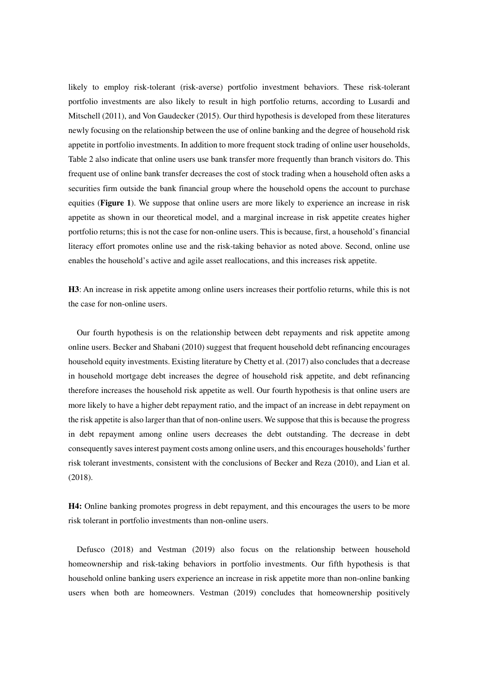likely to employ risk-tolerant (risk-averse) portfolio investment behaviors. These risk-tolerant portfolio investments are also likely to result in high portfolio returns, according to Lusardi and Mitschell (2011), and Von Gaudecker (2015). Our third hypothesis is developed from these literatures newly focusing on the relationship between the use of online banking and the degree of household risk appetite in portfolio investments. In addition to more frequent stock trading of online user households, Table 2 also indicate that online users use bank transfer more frequently than branch visitors do. This frequent use of online bank transfer decreases the cost of stock trading when a household often asks a securities firm outside the bank financial group where the household opens the account to purchase equities (**Figure 1**). We suppose that online users are more likely to experience an increase in risk appetite as shown in our theoretical model, and a marginal increase in risk appetite creates higher portfolio returns; this is not the case for non-online users. This is because, first, a household's financial literacy effort promotes online use and the risk-taking behavior as noted above. Second, online use enables the household's active and agile asset reallocations, and this increases risk appetite.

**H3**: An increase in risk appetite among online users increases their portfolio returns, while this is not the case for non-online users.

Our fourth hypothesis is on the relationship between debt repayments and risk appetite among online users. Becker and Shabani (2010) suggest that frequent household debt refinancing encourages household equity investments. Existing literature by Chetty et al. (2017) also concludes that a decrease in household mortgage debt increases the degree of household risk appetite, and debt refinancing therefore increases the household risk appetite as well. Our fourth hypothesis is that online users are more likely to have a higher debt repayment ratio, and the impact of an increase in debt repayment on the risk appetite is also larger than that of non-online users. We suppose that this is because the progress in debt repayment among online users decreases the debt outstanding. The decrease in debt consequently saves interest payment costs among online users, and this encourages households' further risk tolerant investments, consistent with the conclusions of Becker and Reza (2010), and Lian et al. (2018).

**H4:** Online banking promotes progress in debt repayment, and this encourages the users to be more risk tolerant in portfolio investments than non-online users.

Defusco (2018) and Vestman (2019) also focus on the relationship between household homeownership and risk-taking behaviors in portfolio investments. Our fifth hypothesis is that household online banking users experience an increase in risk appetite more than non-online banking users when both are homeowners. Vestman (2019) concludes that homeownership positively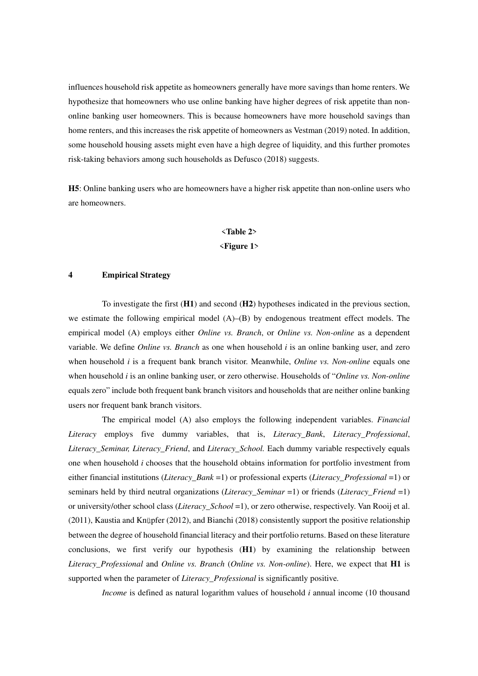influences household risk appetite as homeowners generally have more savings than home renters. We hypothesize that homeowners who use online banking have higher degrees of risk appetite than nononline banking user homeowners. This is because homeowners have more household savings than home renters, and this increases the risk appetite of homeowners as Vestman (2019) noted. In addition, some household housing assets might even have a high degree of liquidity, and this further promotes risk-taking behaviors among such households as Defusco (2018) suggests.

**H5**: Online banking users who are homeowners have a higher risk appetite than non-online users who are homeowners.

# <**Table 2**>

#### <**Figure 1**>

#### **4 Empirical Strategy**

To investigate the first (**H1**) and second (**H2**) hypotheses indicated in the previous section, we estimate the following empirical model  $(A)$ – $(B)$  by endogenous treatment effect models. The empirical model (A) employs either *Online vs. Branch*, or *Online vs. Non-online* as a dependent variable. We define *Online vs. Branch* as one when household *i* is an online banking user, and zero when household *i* is a frequent bank branch visitor. Meanwhile, *Online vs. Non-online* equals one when household *i* is an online banking user, or zero otherwise. Households of "*Online vs. Non-online* equals zero" include both frequent bank branch visitors and households that are neither online banking users nor frequent bank branch visitors.

The empirical model (A) also employs the following independent variables. *Financial Literacy* employs five dummy variables, that is, *Literacy\_Bank*, *Literacy\_Professional*, *Literacy\_Seminar, Literacy\_Friend*, and *Literacy\_School.* Each dummy variable respectively equals one when household *i* chooses that the household obtains information for portfolio investment from either financial institutions (*Literacy\_Bank* =1) or professional experts (*Literacy\_Professional* =1) or seminars held by third neutral organizations (*Literacy\_Seminar* =1) or friends (*Literacy\_Friend* =1) or university/other school class (*Literacy\_School* =1), or zero otherwise, respectively. Van Rooij et al. (2011), Kaustia and Knüpfer (2012), and Bianchi (2018) consistently support the positive relationship between the degree of household financial literacy and their portfolio returns. Based on these literature conclusions, we first verify our hypothesis (**H1**) by examining the relationship between *Literacy\_Professional* and *Online vs. Branch* (*Online vs. Non-online*). Here, we expect that **H1** is supported when the parameter of *Literacy\_Professional* is significantly positive*.* 

*Income* is defined as natural logarithm values of household *i* annual income (10 thousand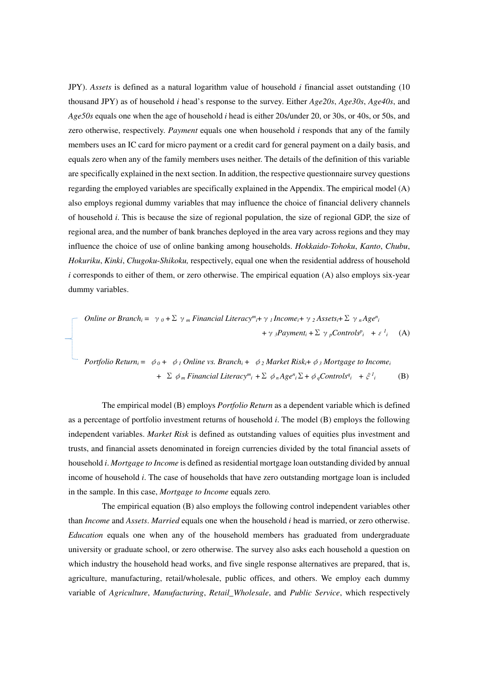JPY). *Assets* is defined as a natural logarithm value of household *i* financial asset outstanding (10 thousand JPY) as of household *i* head's response to the survey. Either *Age20s*, *Age30s*, *Age40s*, and *Age50s* equals one when the age of household *i* head is either 20s/under 20, or 30s, or 40s, or 50s, and zero otherwise, respectively. *Payment* equals one when household *i* responds that any of the family members uses an IC card for micro payment or a credit card for general payment on a daily basis, and equals zero when any of the family members uses neither. The details of the definition of this variable are specifically explained in the next section. In addition, the respective questionnaire survey questions regarding the employed variables are specifically explained in the Appendix. The empirical model (A) also employs regional dummy variables that may influence the choice of financial delivery channels of household *i*. This is because the size of regional population, the size of regional GDP, the size of regional area, and the number of bank branches deployed in the area vary across regions and they may influence the choice of use of online banking among households. *Hokkaido-Tohoku*, *Kanto*, *Chubu*, *Hokuriku*, *Kinki*, *Chugoku*-*Shikoku,* respectively, equal one when the residential address of household *i* corresponds to either of them, or zero otherwise. The empirical equation (A) also employs six-year dummy variables.

$$
\begin{aligned}\n\text{Online or Branch}_{i} &= \gamma_{0} + \sum \gamma_{m} \text{Financial Literacy}^{m} + \gamma_{1} \text{Income}_{i} + \gamma_{2} \text{Assets}_{i} + \sum \gamma_{n} \text{Age}^{n}_{i} \\
&\quad + \gamma_{3} \text{Payment}_{i} + \sum \gamma_{p} \text{Controls}^{p}_{i} + \varepsilon^{l}_{i} \quad \text{(A)}\n\end{aligned}
$$

\n
$$
\text{Portfolio Return}_{i} = \phi_{0} + \phi_{1} \text{ Online vs. Branch}_{i} + \phi_{2} \text{Market Risk}_{i} + \phi_{3} \text{ Mortgage to Income}_{i}
$$
\n $\text{+ } \Sigma \phi_{m} \text{Financial Literary}^{m}{}_{i} + \Sigma \phi_{n} \text{Age}^{n}{}_{i} \Sigma + \phi_{q} \text{Controls}^{q}{}_{i} + \xi^{l}{}_{i}$ \n

\n\n(B)\n

The empirical model (B) employs *Portfolio Return* as a dependent variable which is defined as a percentage of portfolio investment returns of household *i*. The model (B) employs the following independent variables. *Market Risk* is defined as outstanding values of equities plus investment and trusts, and financial assets denominated in foreign currencies divided by the total financial assets of household *i*. *Mortgage to Income* is defined as residential mortgage loan outstanding divided by annual income of household *i*. The case of households that have zero outstanding mortgage loan is included in the sample. In this case, *Mortgage to Income* equals zero*.*

The empirical equation (B) also employs the following control independent variables other than *Income* and *Assets*. *Married* equals one when the household *i* head is married, or zero otherwise. *Education* equals one when any of the household members has graduated from undergraduate university or graduate school, or zero otherwise. The survey also asks each household a question on which industry the household head works, and five single response alternatives are prepared, that is, agriculture, manufacturing, retail/wholesale, public offices, and others. We employ each dummy variable of *Agriculture*, *Manufacturing*, *Retail\_Wholesale*, and *Public Service*, which respectively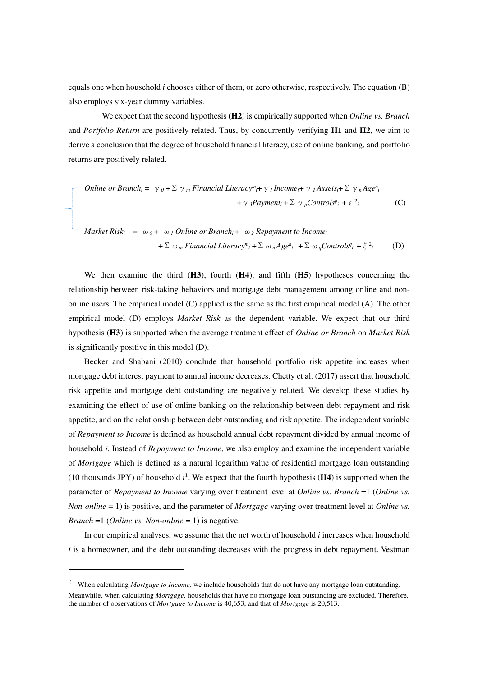equals one when household *i* chooses either of them, or zero otherwise, respectively. The equation (B) also employs six-year dummy variables.

We expect that the second hypothesis (**H2**) is empirically supported when *Online vs. Branch* and *Portfolio Return* are positively related. Thus, by concurrently verifying **H1** and **H2**, we aim to derive a conclusion that the degree of household financial literacy, use of online banking, and portfolio returns are positively related.

$$
\begin{aligned}\n\text{Online or Branch}_{i} &= \gamma_0 + \sum \gamma_m \text{Financial Literary}^m + \gamma_1 \text{ Income}_{i} + \gamma_2 \text{ Assets}_{i} + \sum \gamma_n \text{Age}^n_{i} \\
&\quad + \gamma_3 \text{Payment}_{i} + \sum \gamma_p \text{Controls}^p_{i} + \varepsilon^2_{i}\n\end{aligned} \tag{C}
$$

$$
Market Risk_i = \omega_0 + \omega_1 Online or Branch_i + \omega_2 Repayment to Income_i
$$
  
+  $\Sigma \omega_m Financial Literary^m_i + \Sigma \omega_n Age^n_i + \Sigma \omega_qControls^q_i + \xi^2_i$  (D)

We then examine the third (**H3**), fourth (**H4**), and fifth (**H5**) hypotheses concerning the relationship between risk-taking behaviors and mortgage debt management among online and nononline users. The empirical model (C) applied is the same as the first empirical model (A). The other empirical model (D) employs *Market Risk* as the dependent variable. We expect that our third hypothesis (**H3**) is supported when the average treatment effect of *Online or Branch* on *Market Risk* is significantly positive in this model (D).

Becker and Shabani (2010) conclude that household portfolio risk appetite increases when mortgage debt interest payment to annual income decreases. Chetty et al. (2017) assert that household risk appetite and mortgage debt outstanding are negatively related. We develop these studies by examining the effect of use of online banking on the relationship between debt repayment and risk appetite, and on the relationship between debt outstanding and risk appetite. The independent variable of *Repayment to Income* is defined as household annual debt repayment divided by annual income of household *i.* Instead of *Repayment to Income*, we also employ and examine the independent variable of *Mortgage* which is defined as a natural logarithm value of residential mortgage loan outstanding (10 thousands JPY) of household  $i^1$ . We expect that the fourth hypothesis ( $\bf{H4}$ ) is supported when the parameter of *Repayment to Income* varying over treatment level at *Online vs. Branch* =1 (*Online vs. Non-online* = 1) is positive, and the parameter of *Mortgage* varying over treatment level at *Online vs. Branch* =1 (*Online vs. Non-online* = 1) is negative.

In our empirical analyses, we assume that the net worth of household *i* increases when household *i* is a homeowner, and the debt outstanding decreases with the progress in debt repayment. Vestman

-

<sup>&</sup>lt;sup>1</sup> When calculating *Mortgage to Income*, we include households that do not have any mortgage loan outstanding. Meanwhile, when calculating *Mortgage,* households that have no mortgage loan outstanding are excluded. Therefore, the number of observations of *Mortgage to Income* is 40,653, and that of *Mortgage* is 20,513.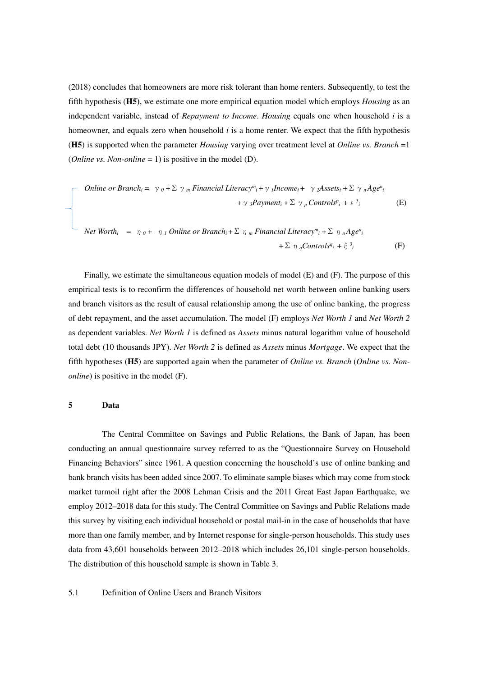(2018) concludes that homeowners are more risk tolerant than home renters. Subsequently, to test the fifth hypothesis (**H5)**, we estimate one more empirical equation model which employs *Housing* as an independent variable, instead of *Repayment to Income*. *Housing* equals one when household *i* is a homeowner, and equals zero when household *i* is a home renter. We expect that the fifth hypothesis (**H5**) is supported when the parameter *Housing* varying over treatment level at *Online vs. Branch* =1 (*Online vs. Non-online* = 1) is positive in the model (D).

Online or Branch<sub>i</sub> = 
$$
\gamma_0 + \Sigma \gamma_m
$$
 Financial Literacy<sup>m</sup><sub>i</sub> +  $\gamma_l$  Income<sub>i</sub> +  $\gamma_2$  Assets<sub>i</sub> +  $\Sigma \gamma_n$  Age<sup>n</sup><sub>i</sub>

\n $+ \gamma_3$ Payment<sub>i</sub> +  $\Sigma \gamma_p$  Controls<sup>p</sup><sub>i</sub> +  $\varepsilon^3_i$ 

\n(E)

*Net Worth<sub>i</sub>* = 
$$
\eta_0 + \eta_1
$$
 *Online or Branch<sub>i</sub>* +  $\Sigma \eta_m$  *Financial Literacy*<sup>*m*</sup><sub>*i*</sub> +  $\Sigma \eta_n$  *Age*<sup>*n*</sup><sub>*i*</sub>   
+  $\Sigma \eta_q$  *Controls*<sup>*q*</sup><sub>*i*</sub> +  $\xi^3_i$  (F)

Finally, we estimate the simultaneous equation models of model (E) and (F). The purpose of this empirical tests is to reconfirm the differences of household net worth between online banking users and branch visitors as the result of causal relationship among the use of online banking, the progress of debt repayment, and the asset accumulation. The model (F) employs *Net Worth 1* and *Net Worth 2* as dependent variables. *Net Worth 1* is defined as *Assets* minus natural logarithm value of household total debt (10 thousands JPY). *Net Worth 2* is defined as *Assets* minus *Mortgage*. We expect that the fifth hypotheses (**H5**) are supported again when the parameter of *Online vs. Branch* (*Online vs. Nononline*) is positive in the model (F).

# **5 Data**

The Central Committee on Savings and Public Relations, the Bank of Japan, has been conducting an annual questionnaire survey referred to as the "Questionnaire Survey on Household Financing Behaviors" since 1961. A question concerning the household's use of online banking and bank branch visits has been added since 2007. To eliminate sample biases which may come from stock market turmoil right after the 2008 Lehman Crisis and the 2011 Great East Japan Earthquake, we employ 2012–2018 data for this study. The Central Committee on Savings and Public Relations made this survey by visiting each individual household or postal mail-in in the case of households that have more than one family member, and by Internet response for single-person households. This study uses data from 43,601 households between 2012–2018 which includes 26,101 single-person households. The distribution of this household sample is shown in Table 3.

# 5.1 Definition of Online Users and Branch Visitors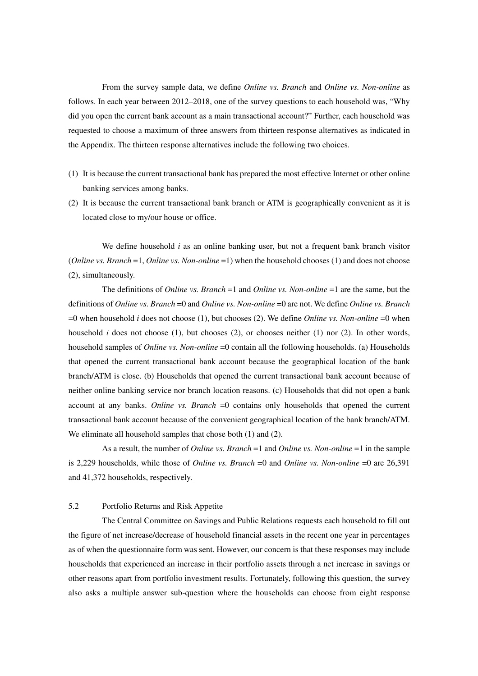From the survey sample data, we define *Online vs. Branch* and *Online vs. Non-online* as follows. In each year between 2012–2018, one of the survey questions to each household was, "Why did you open the current bank account as a main transactional account?" Further, each household was requested to choose a maximum of three answers from thirteen response alternatives as indicated in the Appendix. The thirteen response alternatives include the following two choices.

- (1) It is because the current transactional bank has prepared the most effective Internet or other online banking services among banks.
- (2) It is because the current transactional bank branch or ATM is geographically convenient as it is located close to my/our house or office.

We define household *i* as an online banking user, but not a frequent bank branch visitor (*Online vs. Branch* =1, *Online vs. Non-online* =1) when the household chooses (1) and does not choose (2), simultaneously.

The definitions of *Online vs. Branch* =1 and *Online vs. Non-online* =1 are the same, but the definitions of *Online vs. Branch* =0 and *Online vs. Non-online* =0 are not. We define *Online vs. Branch*  =0 when household *i* does not choose (1), but chooses (2). We define *Online vs. Non-online* =0 when household *i* does not choose (1), but chooses (2), or chooses neither (1) nor (2). In other words, household samples of *Online vs. Non-online* =0 contain all the following households. (a) Households that opened the current transactional bank account because the geographical location of the bank branch/ATM is close. (b) Households that opened the current transactional bank account because of neither online banking service nor branch location reasons. (c) Households that did not open a bank account at any banks. *Online vs. Branch* =0 contains only households that opened the current transactional bank account because of the convenient geographical location of the bank branch/ATM. We eliminate all household samples that chose both  $(1)$  and  $(2)$ .

As a result, the number of *Online vs. Branch* =1 and *Online vs. Non-online* =1 in the sample is 2,229 households, while those of *Online vs. Branch* =0 and *Online vs. Non-online* =0 are 26,391 and 41,372 households, respectively.

#### 5.2 Portfolio Returns and Risk Appetite

The Central Committee on Savings and Public Relations requests each household to fill out the figure of net increase/decrease of household financial assets in the recent one year in percentages as of when the questionnaire form was sent. However, our concern is that these responses may include households that experienced an increase in their portfolio assets through a net increase in savings or other reasons apart from portfolio investment results. Fortunately, following this question, the survey also asks a multiple answer sub-question where the households can choose from eight response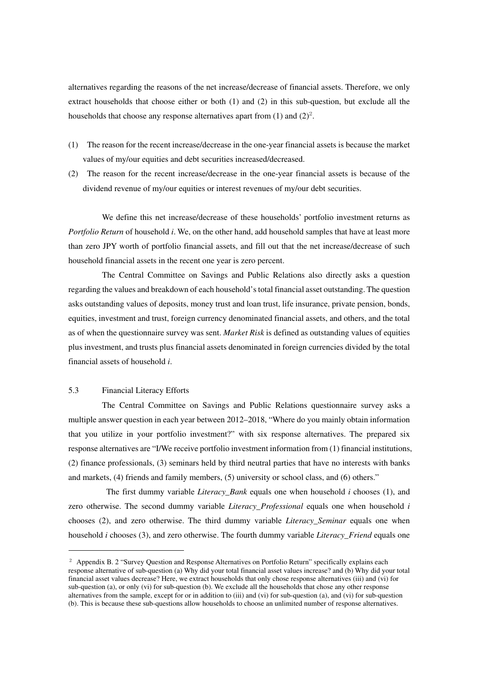alternatives regarding the reasons of the net increase/decrease of financial assets. Therefore, we only extract households that choose either or both (1) and (2) in this sub-question, but exclude all the households that choose any response alternatives apart from  $(1)$  and  $(2)^2$ .

- (1) The reason for the recent increase/decrease in the one-year financial assets is because the market values of my/our equities and debt securities increased/decreased.
- (2) The reason for the recent increase/decrease in the one-year financial assets is because of the dividend revenue of my/our equities or interest revenues of my/our debt securities.

We define this net increase/decrease of these households' portfolio investment returns as *Portfolio Return* of household *i*. We, on the other hand, add household samples that have at least more than zero JPY worth of portfolio financial assets, and fill out that the net increase/decrease of such household financial assets in the recent one year is zero percent.

The Central Committee on Savings and Public Relations also directly asks a question regarding the values and breakdown of each household's total financial asset outstanding. The question asks outstanding values of deposits, money trust and loan trust, life insurance, private pension, bonds, equities, investment and trust, foreign currency denominated financial assets, and others, and the total as of when the questionnaire survey was sent. *Market Risk* is defined as outstanding values of equities plus investment, and trusts plus financial assets denominated in foreign currencies divided by the total financial assets of household *i*.

# 5.3 Financial Literacy Efforts

j

The Central Committee on Savings and Public Relations questionnaire survey asks a multiple answer question in each year between 2012–2018, "Where do you mainly obtain information that you utilize in your portfolio investment?" with six response alternatives. The prepared six response alternatives are "I/We receive portfolio investment information from (1) financial institutions, (2) finance professionals, (3) seminars held by third neutral parties that have no interests with banks and markets, (4) friends and family members, (5) university or school class, and (6) others."

 The first dummy variable *Literacy\_Bank* equals one when household *i* chooses (1), and zero otherwise. The second dummy variable *Literacy\_Professional* equals one when household *i*  chooses (2), and zero otherwise. The third dummy variable *Literacy\_Seminar* equals one when household *i* chooses (3), and zero otherwise. The fourth dummy variable *Literacy\_Friend* equals one

<sup>&</sup>lt;sup>2</sup> Appendix B. 2 "Survey Question and Response Alternatives on Portfolio Return" specifically explains each response alternative of sub-question (a) Why did your total financial asset values increase? and (b) Why did your total financial asset values decrease? Here, we extract households that only chose response alternatives (iii) and (vi) for sub-question (a), or only (vi) for sub-question (b). We exclude all the households that chose any other response alternatives from the sample, except for or in addition to (iii) and (vi) for sub-question (a), and (vi) for sub-question (b). This is because these sub-questions allow households to choose an unlimited number of response alternatives.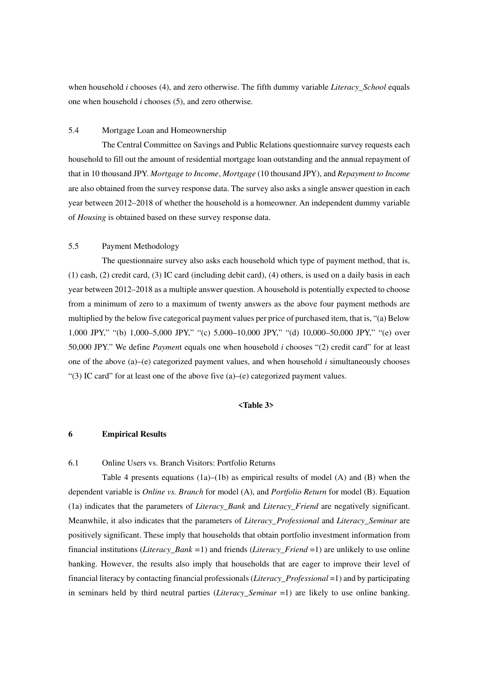when household *i* chooses (4), and zero otherwise. The fifth dummy variable *Literacy* School equals one when household *i* chooses (5), and zero otherwise.

# 5.4 Mortgage Loan and Homeownership

The Central Committee on Savings and Public Relations questionnaire survey requests each household to fill out the amount of residential mortgage loan outstanding and the annual repayment of that in 10 thousand JPY. *Mortgage to Income*, *Mortgage* (10 thousand JPY), and *Repayment to Income* are also obtained from the survey response data. The survey also asks a single answer question in each year between 2012–2018 of whether the household is a homeowner. An independent dummy variable of *Housing* is obtained based on these survey response data.

# 5.5 Payment Methodology

The questionnaire survey also asks each household which type of payment method, that is, (1) cash, (2) credit card, (3) IC card (including debit card), (4) others, is used on a daily basis in each year between 2012–2018 as a multiple answer question. A household is potentially expected to choose from a minimum of zero to a maximum of twenty answers as the above four payment methods are multiplied by the below five categorical payment values per price of purchased item, that is, "(a) Below 1,000 JPY," "(b) 1,000–5,000 JPY," "(c) 5,000–10,000 JPY," "(d) 10,000–50,000 JPY," "(e) over 50,000 JPY." We define *Paymen*t equals one when household *i* chooses "(2) credit card" for at least one of the above (a)–(e) categorized payment values, and when household *i* simultaneously chooses "(3) IC card" for at least one of the above five  $(a)$ –(e) categorized payment values.

#### **<Table 3>**

# **6 Empirical Results**

6.1 Online Users vs. Branch Visitors: Portfolio Returns

Table 4 presents equations  $(1a)$ – $(1b)$  as empirical results of model  $(A)$  and  $(B)$  when the dependent variable is *Online vs. Branch* for model (A), and *Portfolio Return* for model (B). Equation (1a) indicates that the parameters of *Literacy\_Bank* and *Literacy\_Friend* are negatively significant. Meanwhile, it also indicates that the parameters of *Literacy\_Professional* and *Literacy\_Seminar* are positively significant. These imply that households that obtain portfolio investment information from financial institutions (*Literacy\_Bank =*1) and friends (*Literacy\_Friend* =1) are unlikely to use online banking. However, the results also imply that households that are eager to improve their level of financial literacy by contacting financial professionals (*Literacy\_Professional* =1) and by participating in seminars held by third neutral parties (*Literacy\_Seminar* =1) are likely to use online banking.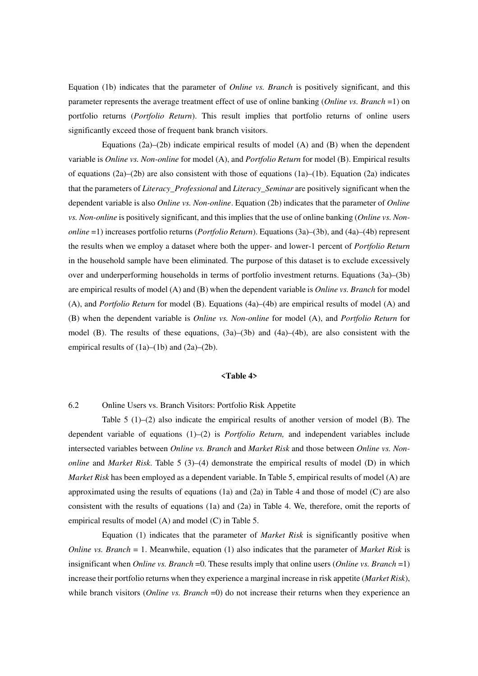Equation (1b) indicates that the parameter of *Online vs. Branch* is positively significant, and this parameter represents the average treatment effect of use of online banking (*Online vs. Branch* =1) on portfolio returns (*Portfolio Return*). This result implies that portfolio returns of online users significantly exceed those of frequent bank branch visitors.

Equations  $(2a)$ – $(2b)$  indicate empirical results of model  $(A)$  and  $(B)$  when the dependent variable is *Online vs. Non-online* for model (A), and *Portfolio Return* for model (B). Empirical results of equations  $(2a)$ – $(2b)$  are also consistent with those of equations  $(1a)$ – $(1b)$ . Equation  $(2a)$  indicates that the parameters of *Literacy\_Professional* and *Literacy\_Seminar* are positively significant when the dependent variable is also *Online vs. Non-online*. Equation (2b) indicates that the parameter of *Online vs. Non-online* is positively significant, and this implies that the use of online banking (*Online vs. Nononline* =1) increases portfolio returns (*Portfolio Return*). Equations (3a)–(3b), and (4a)–(4b) represent the results when we employ a dataset where both the upper- and lower-1 percent of *Portfolio Return* in the household sample have been eliminated. The purpose of this dataset is to exclude excessively over and underperforming households in terms of portfolio investment returns. Equations (3a)–(3b) are empirical results of model (A) and (B) when the dependent variable is *Online vs. Branch* for model (A), and *Portfolio Return* for model (B). Equations (4a)–(4b) are empirical results of model (A) and (B) when the dependent variable is *Online vs. Non-online* for model (A), and *Portfolio Return* for model (B). The results of these equations, (3a)–(3b) and (4a)–(4b), are also consistent with the empirical results of  $(1a)$ – $(1b)$  and  $(2a)$ – $(2b)$ .

#### **<Table 4>**

# 6.2 Online Users vs. Branch Visitors: Portfolio Risk Appetite

Table  $5(1)$ –(2) also indicate the empirical results of another version of model (B). The dependent variable of equations (1)–(2) is *Portfolio Return,* and independent variables include intersected variables between *Online vs. Branch* and *Market Risk* and those between *Online vs. Nononline* and *Market Risk*. Table 5 (3)–(4) demonstrate the empirical results of model (D) in which *Market Risk* has been employed as a dependent variable. In Table 5, empirical results of model (A) are approximated using the results of equations (1a) and (2a) in Table 4 and those of model (C) are also consistent with the results of equations (1a) and (2a) in Table 4. We, therefore, omit the reports of empirical results of model (A) and model (C) in Table 5.

Equation (1) indicates that the parameter of *Market Risk* is significantly positive when *Online vs. Branch* = 1. Meanwhile, equation (1) also indicates that the parameter of *Market Risk* is insignificant when *Online vs. Branch* =0. These results imply that online users (*Online vs. Branch* =1) increase their portfolio returns when they experience a marginal increase in risk appetite (*Market Risk*), while branch visitors (*Online vs. Branch* =0) do not increase their returns when they experience an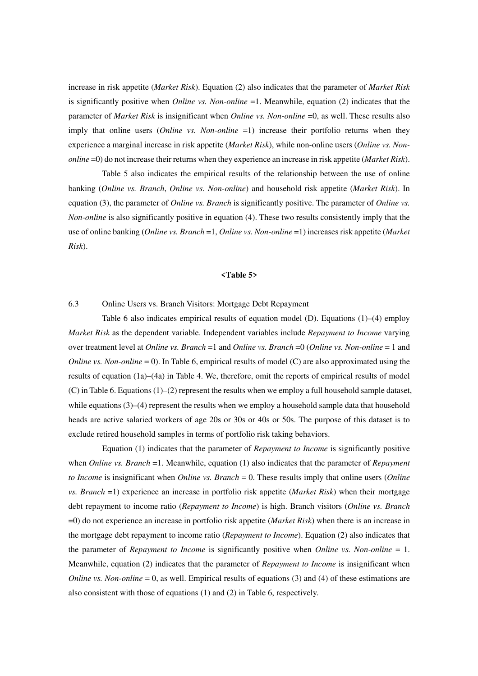increase in risk appetite (*Market Risk*). Equation (2) also indicates that the parameter of *Market Risk* is significantly positive when *Online vs. Non-online* =1. Meanwhile, equation (2) indicates that the parameter of *Market Risk* is insignificant when *Online vs. Non-online* =0, as well. These results also imply that online users (*Online vs. Non-online* =1) increase their portfolio returns when they experience a marginal increase in risk appetite (*Market Risk*), while non-online users (*Online vs. Nononline* =0) do not increase their returns when they experience an increase in risk appetite (*Market Risk*).

Table 5 also indicates the empirical results of the relationship between the use of online banking (*Online vs. Branch*, *Online vs. Non-online*) and household risk appetite (*Market Risk*). In equation (3), the parameter of *Online vs. Branch* is significantly positive. The parameter of *Online vs. Non-online* is also significantly positive in equation (4). These two results consistently imply that the use of online banking (*Online vs. Branch* =1, *Online vs. Non-online* =1) increases risk appetite (*Market Risk*).

#### **<Table 5>**

### 6.3 Online Users vs. Branch Visitors: Mortgage Debt Repayment

Table 6 also indicates empirical results of equation model (D). Equations (1)–(4) employ *Market Risk* as the dependent variable. Independent variables include *Repayment to Income* varying over treatment level at *Online vs. Branch* =1 and *Online vs. Branch* =0 (*Online vs. Non-online* = 1 and *Online vs. Non-online* = 0). In Table 6, empirical results of model (C) are also approximated using the results of equation (1a)–(4a) in Table 4. We, therefore, omit the reports of empirical results of model (C) in Table 6. Equations (1)–(2) represent the results when we employ a full household sample dataset, while equations  $(3)$ – $(4)$  represent the results when we employ a household sample data that household heads are active salaried workers of age 20s or 30s or 40s or 50s. The purpose of this dataset is to exclude retired household samples in terms of portfolio risk taking behaviors.

Equation (1) indicates that the parameter of *Repayment to Income* is significantly positive when *Online vs. Branch* =1. Meanwhile, equation (1) also indicates that the parameter of *Repayment to Income* is insignificant when *Online vs. Branch* = 0. These results imply that online users (*Online vs. Branch* =1) experience an increase in portfolio risk appetite (*Market Risk*) when their mortgage debt repayment to income ratio (*Repayment to Income*) is high. Branch visitors (*Online vs. Branch* =0) do not experience an increase in portfolio risk appetite (*Market Risk*) when there is an increase in the mortgage debt repayment to income ratio (*Repayment to Income*). Equation (2) also indicates that the parameter of *Repayment to Income* is significantly positive when *Online vs. Non-online* = 1. Meanwhile, equation (2) indicates that the parameter of *Repayment to Income* is insignificant when *Online vs. Non-online* = 0, as well. Empirical results of equations (3) and (4) of these estimations are also consistent with those of equations (1) and (2) in Table 6, respectively.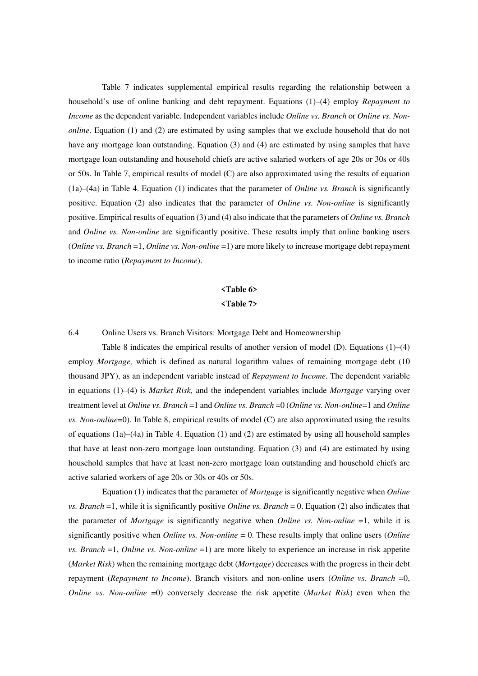Table 7 indicates supplemental empirical results regarding the relationship between a household's use of online banking and debt repayment. Equations (1)–(4) employ *Repayment to Income* as the dependent variable. Independent variables include *Online vs. Branch* or *Online vs. Nononline*. Equation (1) and (2) are estimated by using samples that we exclude household that do not have any mortgage loan outstanding. Equation (3) and (4) are estimated by using samples that have mortgage loan outstanding and household chiefs are active salaried workers of age 20s or 30s or 40s or 50s. In Table 7, empirical results of model (C) are also approximated using the results of equation (1a)–(4a) in Table 4. Equation (1) indicates that the parameter of *Online vs. Branch* is significantly positive. Equation (2) also indicates that the parameter of *Online vs. Non-online* is significantly positive. Empirical results of equation (3) and (4) also indicate that the parameters of *Online vs. Branch* and *Online vs. Non-online* are significantly positive. These results imply that online banking users (*Online vs. Branch* =1, *Online vs. Non-online* =1) are more likely to increase mortgage debt repayment to income ratio (*Repayment to Income*).

# **<Table 6> <Table 7>**

#### 6.4 Online Users vs. Branch Visitors: Mortgage Debt and Homeownership

Table 8 indicates the empirical results of another version of model (D). Equations  $(1)$ – $(4)$ employ *Mortgage*, which is defined as natural logarithm values of remaining mortgage debt (10 thousand JPY), as an independent variable instead of *Repayment to Income*. The dependent variable in equations (1)–(4) is *Market Risk,* and the independent variables include *Mortgage* varying over treatment level at *Online vs. Branch* =1 and *Online vs. Branch* =0 (*Online vs. Non-online*=1 and *Online vs. Non-online*=0). In Table 8, empirical results of model (C) are also approximated using the results of equations (1a)–(4a) in Table 4. Equation (1) and (2) are estimated by using all household samples that have at least non-zero mortgage loan outstanding. Equation (3) and (4) are estimated by using household samples that have at least non-zero mortgage loan outstanding and household chiefs are active salaried workers of age 20s or 30s or 40s or 50s.

Equation (1) indicates that the parameter of *Mortgage* is significantly negative when *Online vs. Branch* =1, while it is significantly positive *Online vs. Branch* = 0. Equation (2) also indicates that the parameter of *Mortgage* is significantly negative when *Online vs. Non-online* =1, while it is significantly positive when *Online vs. Non-online* = 0. These results imply that online users (*Online vs. Branch* =1, *Online vs. Non-online* =1) are more likely to experience an increase in risk appetite (*Market Risk*) when the remaining mortgage debt (*Mortgage*) decreases with the progress in their debt repayment (*Repayment to Income*). Branch visitors and non-online users (*Online vs. Branch* =0, *Online vs. Non-online* =0) conversely decrease the risk appetite (*Market Risk*) even when the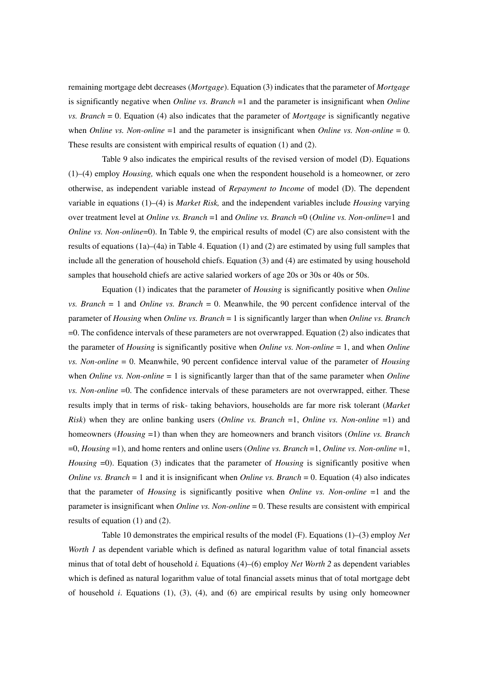remaining mortgage debt decreases (*Mortgage*). Equation (3) indicates that the parameter of *Mortgage* is significantly negative when *Online vs. Branch* =1 and the parameter is insignificant when *Online vs. Branch* = 0. Equation (4) also indicates that the parameter of *Mortgage* is significantly negative when *Online vs. Non-online*  $=1$  and the parameter is insignificant when *Online vs. Non-online*  $= 0$ . These results are consistent with empirical results of equation (1) and (2).

Table 9 also indicates the empirical results of the revised version of model (D). Equations (1)–(4) employ *Housing,* which equals one when the respondent household is a homeowner, or zero otherwise, as independent variable instead of *Repayment to Income* of model (D). The dependent variable in equations (1)–(4) is *Market Risk,* and the independent variables include *Housing* varying over treatment level at *Online vs. Branch* =1 and *Online vs. Branch* =0 (*Online vs. Non-online*=1 and *Online vs. Non-online*=0). In Table 9, the empirical results of model (C) are also consistent with the results of equations (1a)–(4a) in Table 4. Equation (1) and (2) are estimated by using full samples that include all the generation of household chiefs. Equation (3) and (4) are estimated by using household samples that household chiefs are active salaried workers of age 20s or 30s or 40s or 50s.

Equation (1) indicates that the parameter of *Housing* is significantly positive when *Online vs. Branch* = 1 and *Online vs. Branch* = 0. Meanwhile, the 90 percent confidence interval of the parameter of *Housing* when *Online vs. Branch* = 1 is significantly larger than when *Online vs. Branch* =0. The confidence intervals of these parameters are not overwrapped. Equation (2) also indicates that the parameter of *Housing* is significantly positive when *Online vs. Non-online* = 1, and when *Online vs. Non-online* = 0. Meanwhile, 90 percent confidence interval value of the parameter of *Housing* when *Online vs. Non-online* = 1 is significantly larger than that of the same parameter when *Online vs. Non-online* =0. The confidence intervals of these parameters are not overwrapped, either. These results imply that in terms of risk- taking behaviors, households are far more risk tolerant (*Market Risk*) when they are online banking users (*Online vs. Branch* =1, *Online vs. Non-online* =1) and homeowners (*Housing* =1) than when they are homeowners and branch visitors (*Online vs. Branch* =0, *Housing* =1), and home renters and online users (*Online vs. Branch* =1, *Online vs. Non-online* =1, *Housing* =0). Equation (3) indicates that the parameter of *Housing* is significantly positive when *Online vs. Branch* = 1 and it is insignificant when *Online vs. Branch* = 0. Equation (4) also indicates that the parameter of *Housing* is significantly positive when *Online vs. Non-online* =1 and the parameter is insignificant when *Online vs. Non-online* = 0. These results are consistent with empirical results of equation (1) and (2).

Table 10 demonstrates the empirical results of the model (F). Equations (1)–(3) employ *Net Worth 1* as dependent variable which is defined as natural logarithm value of total financial assets minus that of total debt of household *i.* Equations (4)–(6) employ *Net Worth 2* as dependent variables which is defined as natural logarithm value of total financial assets minus that of total mortgage debt of household *i*. Equations (1), (3), (4), and (6) are empirical results by using only homeowner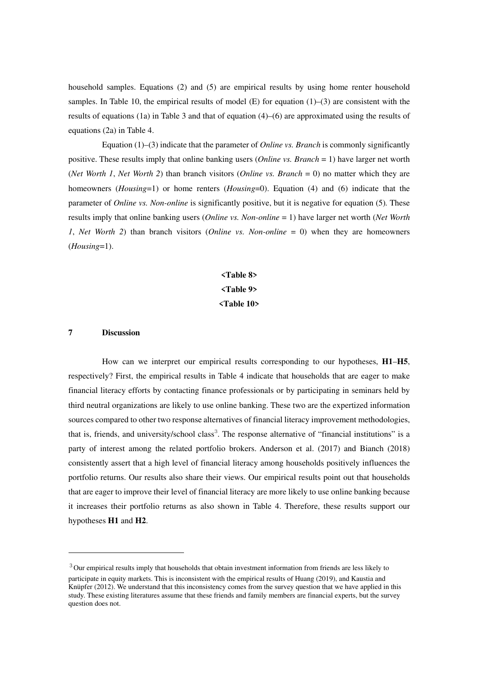household samples. Equations (2) and (5) are empirical results by using home renter household samples. In Table 10, the empirical results of model  $(E)$  for equation  $(1)$ –(3) are consistent with the results of equations (1a) in Table 3 and that of equation (4)–(6) are approximated using the results of equations (2a) in Table 4.

Equation (1)–(3) indicate that the parameter of *Online vs. Branch* is commonly significantly positive. These results imply that online banking users (*Online vs. Branch* = 1) have larger net worth (*Net Worth 1*, *Net Worth 2*) than branch visitors (*Online vs. Branch* = 0) no matter which they are homeowners (*Housing*=1) or home renters (*Housing*=0). Equation (4) and (6) indicate that the parameter of *Online vs. Non-online* is significantly positive, but it is negative for equation (5)*.* These results imply that online banking users (*Online vs. Non-online* = 1) have larger net worth (*Net Worth 1*, *Net Worth 2*) than branch visitors (*Online vs. Non-online* = 0) when they are homeowners (*Housing*=1).

# **<Table 8> <Table 9> <Table 10>**

# **7 Discussion**

-

How can we interpret our empirical results corresponding to our hypotheses, **H1**–**H5**, respectively? First, the empirical results in Table 4 indicate that households that are eager to make financial literacy efforts by contacting finance professionals or by participating in seminars held by third neutral organizations are likely to use online banking. These two are the expertized information sources compared to other two response alternatives of financial literacy improvement methodologies, that is, friends, and university/school class<sup>3</sup>. The response alternative of "financial institutions" is a party of interest among the related portfolio brokers. Anderson et al. (2017) and Bianch (2018) consistently assert that a high level of financial literacy among households positively influences the portfolio returns. Our results also share their views. Our empirical results point out that households that are eager to improve their level of financial literacy are more likely to use online banking because it increases their portfolio returns as also shown in Table 4. Therefore, these results support our hypotheses **H1** and **H2**.

<sup>&</sup>lt;sup>3</sup>Our empirical results imply that households that obtain investment information from friends are less likely to participate in equity markets. This is inconsistent with the empirical results of Huang (2019), and Kaustia and Knüpfer (2012). We understand that this inconsistency comes from the survey question that we have applied in this study. These existing literatures assume that these friends and family members are financial experts, but the survey question does not.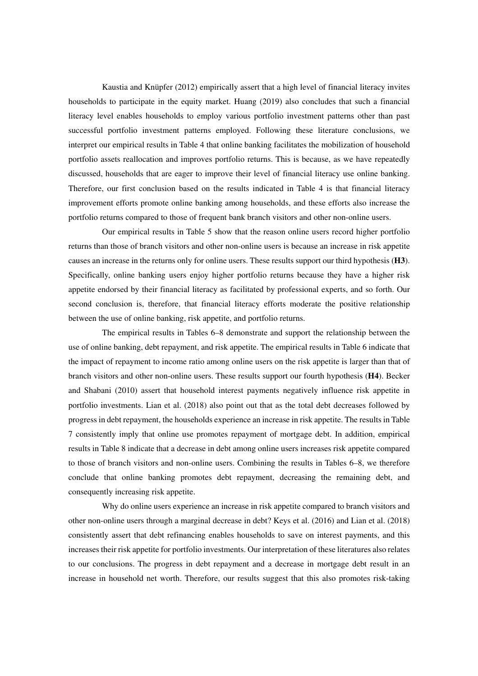Kaustia and Knüpfer (2012) empirically assert that a high level of financial literacy invites households to participate in the equity market. Huang (2019) also concludes that such a financial literacy level enables households to employ various portfolio investment patterns other than past successful portfolio investment patterns employed. Following these literature conclusions, we interpret our empirical results in Table 4 that online banking facilitates the mobilization of household portfolio assets reallocation and improves portfolio returns. This is because, as we have repeatedly discussed, households that are eager to improve their level of financial literacy use online banking. Therefore, our first conclusion based on the results indicated in Table 4 is that financial literacy improvement efforts promote online banking among households, and these efforts also increase the portfolio returns compared to those of frequent bank branch visitors and other non-online users.

Our empirical results in Table 5 show that the reason online users record higher portfolio returns than those of branch visitors and other non-online users is because an increase in risk appetite causes an increase in the returns only for online users. These results support our third hypothesis (**H3**). Specifically, online banking users enjoy higher portfolio returns because they have a higher risk appetite endorsed by their financial literacy as facilitated by professional experts, and so forth. Our second conclusion is, therefore, that financial literacy efforts moderate the positive relationship between the use of online banking, risk appetite, and portfolio returns.

The empirical results in Tables 6–8 demonstrate and support the relationship between the use of online banking, debt repayment, and risk appetite. The empirical results in Table 6 indicate that the impact of repayment to income ratio among online users on the risk appetite is larger than that of branch visitors and other non-online users. These results support our fourth hypothesis (**H4**). Becker and Shabani (2010) assert that household interest payments negatively influence risk appetite in portfolio investments. Lian et al. (2018) also point out that as the total debt decreases followed by progress in debt repayment, the households experience an increase in risk appetite. The results in Table 7 consistently imply that online use promotes repayment of mortgage debt. In addition, empirical results in Table 8 indicate that a decrease in debt among online users increases risk appetite compared to those of branch visitors and non-online users. Combining the results in Tables 6–8, we therefore conclude that online banking promotes debt repayment, decreasing the remaining debt, and consequently increasing risk appetite.

Why do online users experience an increase in risk appetite compared to branch visitors and other non-online users through a marginal decrease in debt? Keys et al. (2016) and Lian et al. (2018) consistently assert that debt refinancing enables households to save on interest payments, and this increases their risk appetite for portfolio investments. Our interpretation of these literatures also relates to our conclusions. The progress in debt repayment and a decrease in mortgage debt result in an increase in household net worth. Therefore, our results suggest that this also promotes risk-taking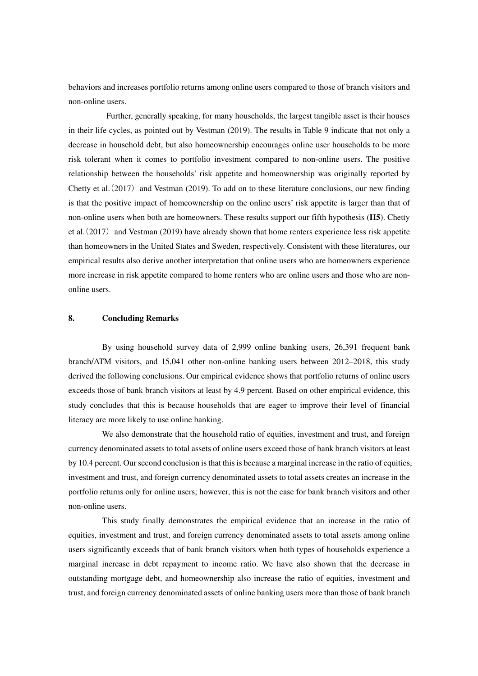behaviors and increases portfolio returns among online users compared to those of branch visitors and non-online users.

 Further, generally speaking, for many households, the largest tangible asset is their houses in their life cycles, as pointed out by Vestman (2019). The results in Table 9 indicate that not only a decrease in household debt, but also homeownership encourages online user households to be more risk tolerant when it comes to portfolio investment compared to non-online users. The positive relationship between the households' risk appetite and homeownership was originally reported by Chetty et al.(2017) and Vestman (2019). To add on to these literature conclusions, our new finding is that the positive impact of homeownership on the online users' risk appetite is larger than that of non-online users when both are homeowners. These results support our fifth hypothesis (**H5**). Chetty et al.(2017) and Vestman (2019) have already shown that home renters experience less risk appetite than homeowners in the United States and Sweden, respectively. Consistent with these literatures, our empirical results also derive another interpretation that online users who are homeowners experience more increase in risk appetite compared to home renters who are online users and those who are nononline users.

#### **8. Concluding Remarks**

By using household survey data of 2,999 online banking users, 26,391 frequent bank branch/ATM visitors, and 15,041 other non-online banking users between 2012–2018, this study derived the following conclusions. Our empirical evidence shows that portfolio returns of online users exceeds those of bank branch visitors at least by 4.9 percent. Based on other empirical evidence, this study concludes that this is because households that are eager to improve their level of financial literacy are more likely to use online banking.

We also demonstrate that the household ratio of equities, investment and trust, and foreign currency denominated assets to total assets of online users exceed those of bank branch visitors at least by 10.4 percent. Our second conclusion is that this is because a marginal increase in the ratio of equities, investment and trust, and foreign currency denominated assets to total assets creates an increase in the portfolio returns only for online users; however, this is not the case for bank branch visitors and other non-online users.

This study finally demonstrates the empirical evidence that an increase in the ratio of equities, investment and trust, and foreign currency denominated assets to total assets among online users significantly exceeds that of bank branch visitors when both types of households experience a marginal increase in debt repayment to income ratio. We have also shown that the decrease in outstanding mortgage debt, and homeownership also increase the ratio of equities, investment and trust, and foreign currency denominated assets of online banking users more than those of bank branch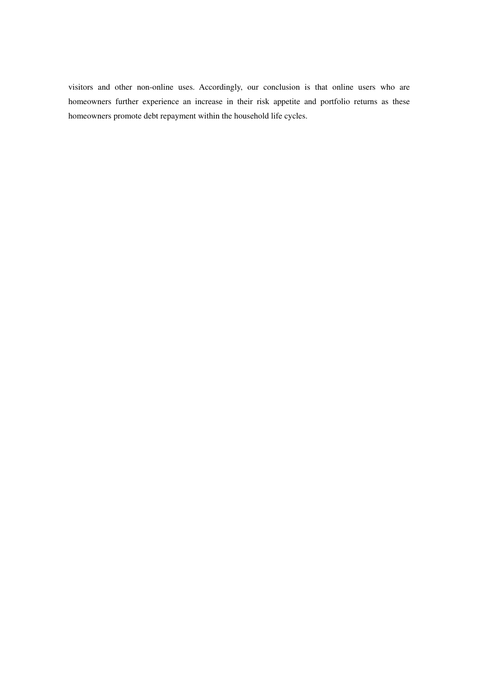visitors and other non-online uses. Accordingly, our conclusion is that online users who are homeowners further experience an increase in their risk appetite and portfolio returns as these homeowners promote debt repayment within the household life cycles.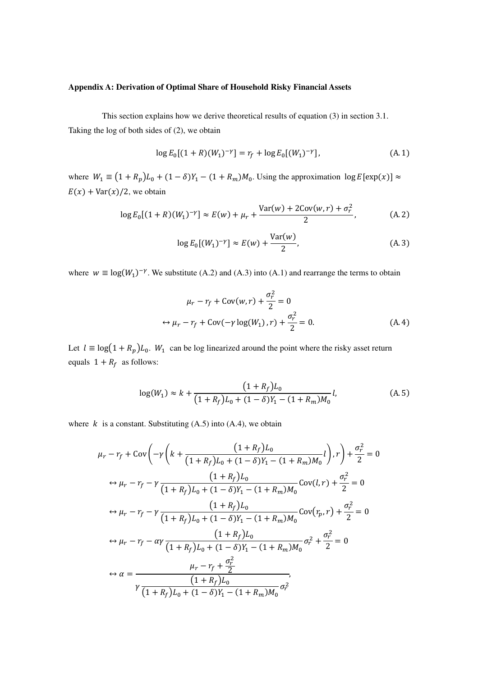# **Appendix A: Derivation of Optimal Share of Household Risky Financial Assets**

This section explains how we derive theoretical results of equation (3) in section 3.1. Taking the log of both sides of (2), we obtain

$$
\log E_0[(1+R)(W_1)^{-\gamma}] = r_f + \log E_0[(W_1)^{-\gamma}], \tag{A.1}
$$

where  $W_1 \equiv (1 + R_p)L_0 + (1 - \delta)Y_1 - (1 + R_m)M_0$ . Using the approximation  $\log E[\exp(x)] \approx$  $E(x) + Var(x)/2$ , we obtain

$$
\log E_0[(1+R)(W_1)^{-\gamma}] \approx E(w) + \mu_r + \frac{\text{Var}(w) + 2\text{Cov}(w,r) + \sigma_r^2}{2},\tag{A.2}
$$

$$
\log E_0[(W_1)^{-\gamma}] \approx E(w) + \frac{\text{Var}(w)}{2},\tag{A.3}
$$

where  $w \equiv \log(W_1)^{-\gamma}$ . We substitute (A.2) and (A.3) into (A.1) and rearrange the terms to obtain

$$
\mu_r - r_f + \text{Cov}(w, r) + \frac{\sigma_r^2}{2} = 0
$$
  
\n
$$
\leftrightarrow \mu_r - r_f + \text{Cov}(-\gamma \log(W_1), r) + \frac{\sigma_r^2}{2} = 0.
$$
 (A.4)

Let  $l \equiv \log(1 + R_p)L_0$ .  $W_1$  can be log linearized around the point where the risky asset return equals  $1 + R_f$  as follows:

$$
\log(W_1) \approx k + \frac{(1 + R_f)L_0}{(1 + R_f)L_0 + (1 - \delta)Y_1 - (1 + R_m)M_0}l,\tag{A.5}
$$

where  $k$  is a constant. Substituting (A.5) into (A.4), we obtain

$$
\mu_r - r_f + \text{Cov}\left(-\gamma \left(k + \frac{(1 + R_f)L_0}{(1 + R_f)L_0 + (1 - \delta)Y_1 - (1 + R_m)M_0}l\right), r\right) + \frac{\sigma_r^2}{2} = 0
$$
\n
$$
\leftrightarrow \mu_r - r_f - \gamma \frac{(1 + R_f)L_0}{(1 + R_f)L_0 + (1 - \delta)Y_1 - (1 + R_m)M_0}\text{Cov}(l, r) + \frac{\sigma_r^2}{2} = 0
$$
\n
$$
\leftrightarrow \mu_r - r_f - \gamma \frac{(1 + R_f)L_0}{(1 + R_f)L_0 + (1 - \delta)Y_1 - (1 + R_m)M_0}\text{Cov}(r_p, r) + \frac{\sigma_r^2}{2} = 0
$$
\n
$$
\leftrightarrow \mu_r - r_f - \alpha \gamma \frac{(1 + R_f)L_0}{(1 + R_f)L_0 + (1 - \delta)Y_1 - (1 + R_m)M_0}\sigma_r^2 + \frac{\sigma_r^2}{2} = 0
$$
\n
$$
\leftrightarrow \alpha = \frac{\mu_r - r_f + \frac{\sigma_r^2}{2}}{\gamma \frac{(1 + R_f)L_0}{(1 + R_f)L_0 + (1 - \delta)Y_1 - (1 + R_m)M_0}\sigma_r^2}
$$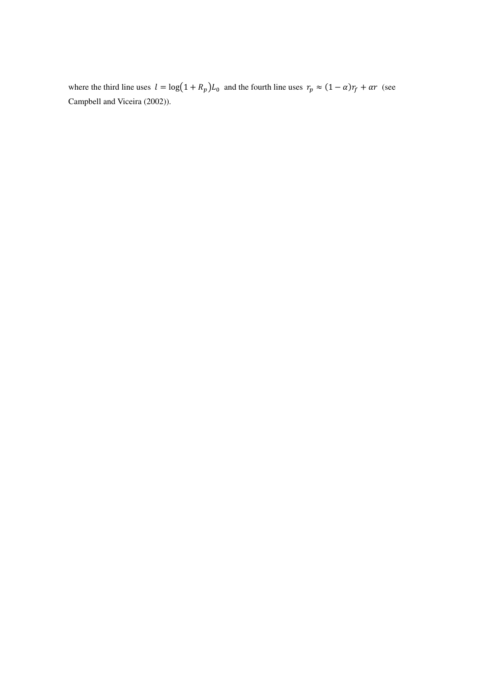where the third line uses  $l = \log(1 + R_p)L_0$  and the fourth line uses  $r_p \approx (1 - \alpha)r_f + \alpha r$  (see Campbell and Viceira (2002)).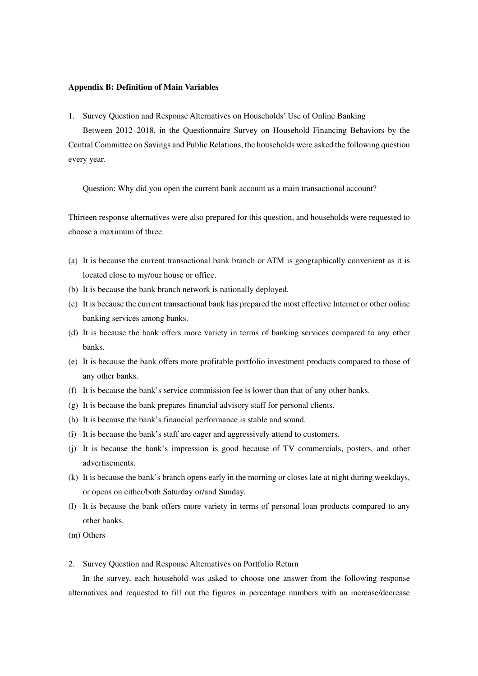#### **Appendix B: Definition of Main Variables**

1. Survey Question and Response Alternatives on Households' Use of Online Banking

Between 2012–2018, in the Questionnaire Survey on Household Financing Behaviors by the Central Committee on Savings and Public Relations, the households were asked the following question every year.

Question: Why did you open the current bank account as a main transactional account?

Thirteen response alternatives were also prepared for this question, and households were requested to choose a maximum of three.

- (a) It is because the current transactional bank branch or ATM is geographically convenient as it is located close to my/our house or office.
- (b) It is because the bank branch network is nationally deployed.
- (c) It is because the current transactional bank has prepared the most effective Internet or other online banking services among banks.
- (d) It is because the bank offers more variety in terms of banking services compared to any other banks.
- (e) It is because the bank offers more profitable portfolio investment products compared to those of any other banks.
- (f) It is because the bank's service commission fee is lower than that of any other banks.
- (g) It is because the bank prepares financial advisory staff for personal clients.
- (h) It is because the bank's financial performance is stable and sound.
- (i) It is because the bank's staff are eager and aggressively attend to customers.
- (j) It is because the bank's impression is good because of TV commercials, posters, and other advertisements.
- (k) It is because the bank's branch opens early in the morning or closes late at night during weekdays, or opens on either/both Saturday or/and Sunday.
- (l) It is because the bank offers more variety in terms of personal loan products compared to any other banks.
- (m) Others
- 2. Survey Question and Response Alternatives on Portfolio Return

In the survey, each household was asked to choose one answer from the following response alternatives and requested to fill out the figures in percentage numbers with an increase/decrease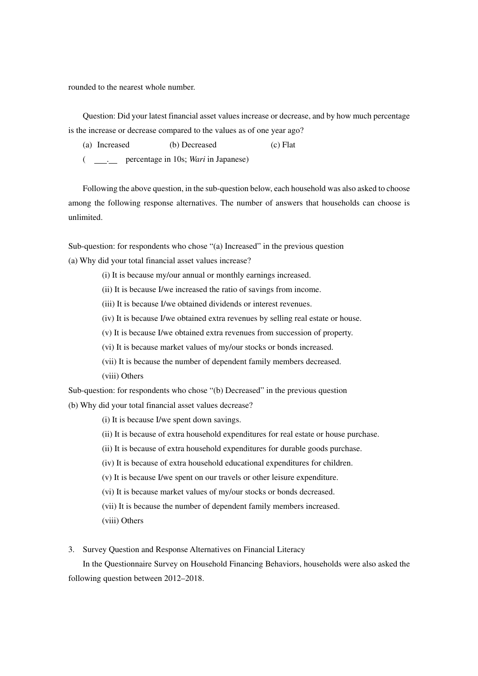rounded to the nearest whole number.

Question: Did your latest financial asset values increase or decrease, and by how much percentage is the increase or decrease compared to the values as of one year ago?

- (a) Increased (b) Decreased (c) Flat
- ( . percentage in 10s; *Wari* in Japanese)

Following the above question, in the sub-question below, each household was also asked to choose among the following response alternatives. The number of answers that households can choose is unlimited.

Sub-question: for respondents who chose "(a) Increased" in the previous question (a) Why did your total financial asset values increase?

- (i) It is because my/our annual or monthly earnings increased.
- (ii) It is because I/we increased the ratio of savings from income.
- (iii) It is because I/we obtained dividends or interest revenues.
- (iv) It is because I/we obtained extra revenues by selling real estate or house.
- (v) It is because I/we obtained extra revenues from succession of property.
- (vi) It is because market values of my/our stocks or bonds increased.
- (vii) It is because the number of dependent family members decreased.
- (viii) Others

Sub-question: for respondents who chose "(b) Decreased" in the previous question (b) Why did your total financial asset values decrease?

- (i) It is because I/we spent down savings.
- (ii) It is because of extra household expenditures for real estate or house purchase.
- (ii) It is because of extra household expenditures for durable goods purchase.
- (iv) It is because of extra household educational expenditures for children.
- (v) It is because I/we spent on our travels or other leisure expenditure.
- (vi) It is because market values of my/our stocks or bonds decreased.
- (vii) It is because the number of dependent family members increased.
- (viii) Others

3. Survey Question and Response Alternatives on Financial Literacy

In the Questionnaire Survey on Household Financing Behaviors, households were also asked the following question between 2012–2018.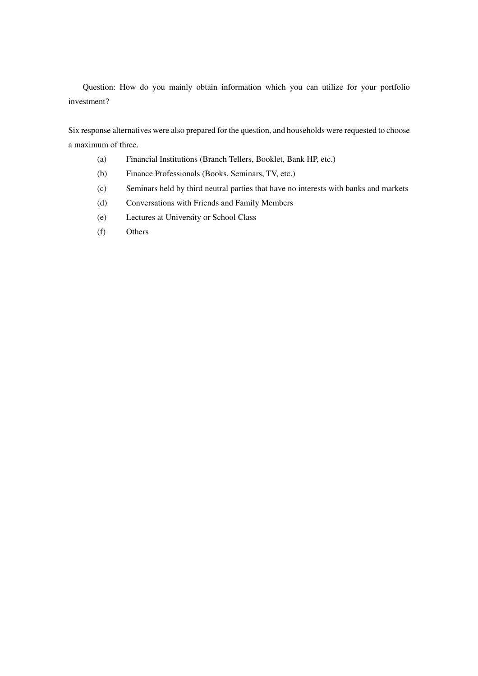Question: How do you mainly obtain information which you can utilize for your portfolio investment?

Six response alternatives were also prepared for the question, and households were requested to choose a maximum of three.

- (a) Financial Institutions (Branch Tellers, Booklet, Bank HP, etc.)
- (b) Finance Professionals (Books, Seminars, TV, etc.)
- (c) Seminars held by third neutral parties that have no interests with banks and markets
- (d) Conversations with Friends and Family Members
- (e) Lectures at University or School Class
- (f) Others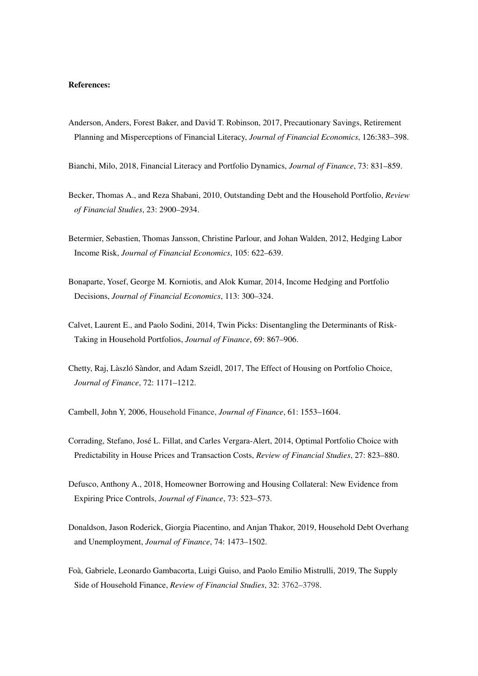#### **References:**

- Anderson, Anders, Forest Baker, and David T. Robinson, 2017, Precautionary Savings, Retirement Planning and Misperceptions of Financial Literacy, *Journal of Financial Economics*, 126:383–398.
- Bianchi, Milo, 2018, Financial Literacy and Portfolio Dynamics, *Journal of Finance*, 73: 831–859.
- Becker, Thomas A., and Reza Shabani, 2010, Outstanding Debt and the Household Portfolio, *Review of Financial Studies*, 23: 2900–2934.
- Betermier, Sebastien, Thomas Jansson, Christine Parlour, and Johan Walden, 2012, Hedging Labor Income Risk, *Journal of Financial Economics*, 105: 622–639.
- Bonaparte, Yosef, George M. Korniotis, and Alok Kumar, 2014, Income Hedging and Portfolio Decisions, *Journal of Financial Economics*, 113: 300–324.
- Calvet, Laurent E., and Paolo Sodini, 2014, Twin Picks: Disentangling the Determinants of Risk-Taking in Household Portfolios, *Journal of Finance*, 69: 867–906.
- Chetty, Raj, Làszló Sàndor, and Adam Szeidl, 2017, The Effect of Housing on Portfolio Choice, *Journal of Finance*, 72: 1171–1212.

Cambell, John Y, 2006, Household Finance, *Journal of Finance*, 61: 1553–1604.

- Corrading, Stefano, José L. Fillat, and Carles Vergara-Alert, 2014, Optimal Portfolio Choice with Predictability in House Prices and Transaction Costs, *Review of Financial Studies*, 27: 823–880.
- Defusco, Anthony A., 2018, Homeowner Borrowing and Housing Collateral: New Evidence from Expiring Price Controls, *Journal of Finance*, 73: 523–573.
- Donaldson, Jason Roderick, Giorgia Piacentino, and Anjan Thakor, 2019, Household Debt Overhang and Unemployment, *Journal of Finance*, 74: 1473–1502.
- Foà, Gabriele, Leonardo Gambacorta, Luigi Guiso, and Paolo Emilio Mistrulli, 2019, The Supply Side of Household Finance, *Review of Financial Studies*, 32: 3762–3798.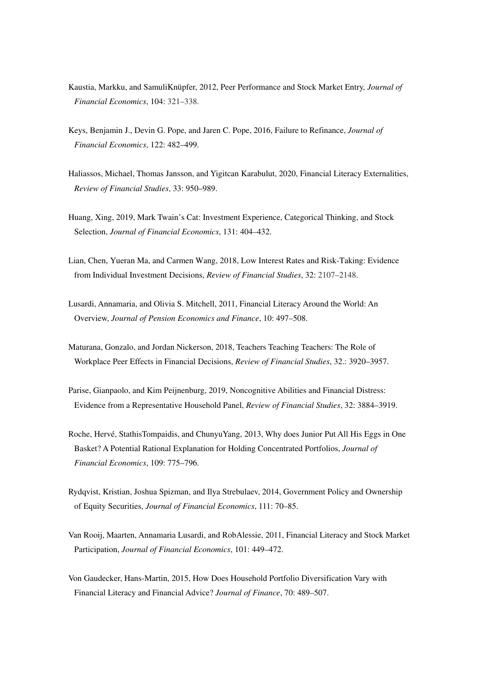- Kaustia, Markku, and SamuliKnüpfer, 2012, Peer Performance and Stock Market Entry, *Journal of Financial Economics*, 104: 321–338.
- Keys, Benjamin J., Devin G. Pope, and Jaren C. Pope, 2016, Failure to Refinance, *Journal of Financial Economics*, 122: 482–499.
- Haliassos, Michael, Thomas Jansson, and Yigitcan Karabulut, 2020, Financial Literacy Externalities, *Review of Financial Studies*, 33: 950–989.
- Huang, Xing, 2019, Mark Twain's Cat: Investment Experience, Categorical Thinking, and Stock Selection, *Journal of Financial Economics*, 131: 404–432.
- Lian, Chen, Yueran Ma, and Carmen Wang, 2018, Low Interest Rates and Risk-Taking: Evidence from Individual Investment Decisions, *Review of Financial Studies*, 32: 2107–2148.
- Lusardi, Annamaria, and Olivia S. Mitchell, 2011, Financial Literacy Around the World: An Overview, *Journal of Pension Economics and Finance*, 10: 497–508.
- Maturana, Gonzalo, and Jordan Nickerson, 2018, Teachers Teaching Teachers: The Role of Workplace Peer Effects in Financial Decisions, *Review of Financial Studies*, 32.: 3920–3957.
- Parise, Gianpaolo, and Kim Peijnenburg, 2019, Noncognitive Abilities and Financial Distress: Evidence from a Representative Household Panel, *Review of Financial Studies*, 32: 3884–3919.
- Roche, Hervé, StathisTompaidis, and ChunyuYang, 2013, Why does Junior Put All His Eggs in One Basket? A Potential Rational Explanation for Holding Concentrated Portfolios, *Journal of Financial Economics*, 109: 775–796.
- Rydqvist, Kristian, Joshua Spizman, and Ilya Strebulaev, 2014, Government Policy and Ownership of Equity Securities, *Journal of Financial Economics*, 111: 70–85.
- Van Rooij, Maarten, Annamaria Lusardi, and RobAlessie, 2011, Financial Literacy and Stock Market Participation, *Journal of Financial Economics*, 101: 449–472.
- Von Gaudecker, Hans-Martin, 2015, How Does Household Portfolio Diversification Vary with Financial Literacy and Financial Advice? *Journal of Finance*, 70: 489–507.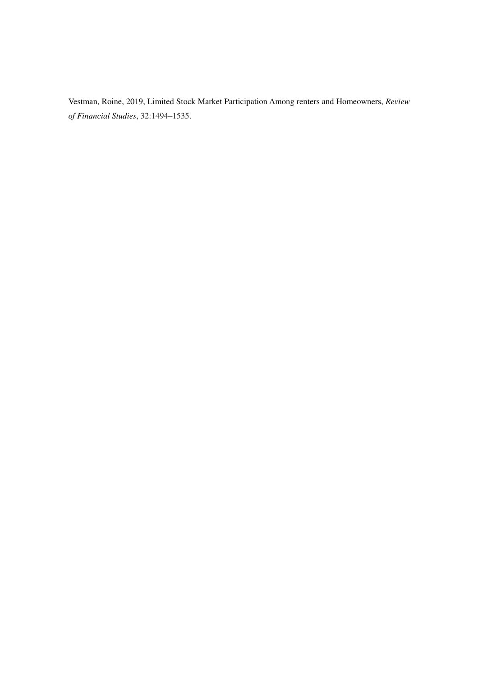Vestman, Roine, 2019, Limited Stock Market Participation Among renters and Homeowners, *Review of Financial Studies*, 32:1494–1535.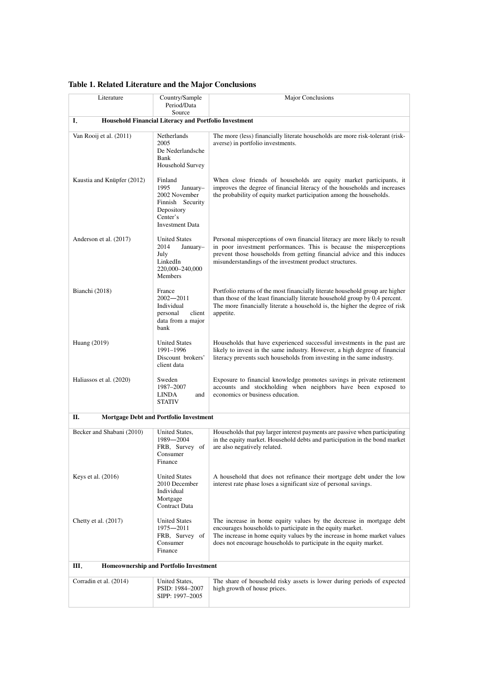| Literature                 | Country/Sample                                                                                                       | Major Conclusions                                                                                                                                                                                                                                                                        |  |  |  |  |  |  |  |
|----------------------------|----------------------------------------------------------------------------------------------------------------------|------------------------------------------------------------------------------------------------------------------------------------------------------------------------------------------------------------------------------------------------------------------------------------------|--|--|--|--|--|--|--|
|                            | Period/Data<br>Source                                                                                                |                                                                                                                                                                                                                                                                                          |  |  |  |  |  |  |  |
| I.                         | Household Financial Literacy and Portfolio Investment                                                                |                                                                                                                                                                                                                                                                                          |  |  |  |  |  |  |  |
| Van Rooij et al. (2011)    | Netherlands<br>2005<br>De Nederlandsche<br>Bank<br>Household Survey                                                  | The more (less) financially literate households are more risk-tolerant (risk-<br>averse) in portfolio investments.                                                                                                                                                                       |  |  |  |  |  |  |  |
| Kaustia and Knüpfer (2012) | Finland<br>1995<br>January-<br>2002 November<br>Finnish Security<br>Depository<br>Center's<br><b>Investment Data</b> | When close friends of households are equity market participants, it<br>improves the degree of financial literacy of the households and increases<br>the probability of equity market participation among the households.                                                                 |  |  |  |  |  |  |  |
| Anderson et al. (2017)     | <b>United States</b><br>2014<br>January-<br>July<br>LinkedIn<br>220,000-240,000<br><b>Members</b>                    | Personal misperceptions of own financial literacy are more likely to result<br>in poor investment performances. This is because the misperceptions<br>prevent those households from getting financial advice and this induces<br>misunderstandings of the investment product structures. |  |  |  |  |  |  |  |
| Bianchi (2018)             | France<br>$2002 - 2011$<br>Individual<br>personal<br>client<br>data from a major<br>bank                             | Portfolio returns of the most financially literate household group are higher<br>than those of the least financially literate household group by 0.4 percent.<br>The more financially literate a household is, the higher the degree of risk<br>appetite.                                |  |  |  |  |  |  |  |
| Huang (2019)               | <b>United States</b><br>1991-1996<br>Discount brokers'<br>client data                                                | Households that have experienced successful investments in the past are<br>likely to invest in the same industry. However, a high degree of financial<br>literacy prevents such households from investing in the same industry.                                                          |  |  |  |  |  |  |  |
| Haliassos et al. (2020)    | Sweden<br>1987-2007<br><b>LINDA</b><br>and<br><b>STATIV</b>                                                          | Exposure to financial knowledge promotes savings in private retirement<br>accounts and stockholding when neighbors have been exposed to<br>economics or business education.                                                                                                              |  |  |  |  |  |  |  |
| П.                         | <b>Mortgage Debt and Portfolio Investment</b>                                                                        |                                                                                                                                                                                                                                                                                          |  |  |  |  |  |  |  |
| Becker and Shabani (2010)  | United States,<br>1989-2004<br>FRB, Survey of<br>Consumer<br>Finance                                                 | Households that pay larger interest payments are passive when participating<br>in the equity market. Household debts and participation in the bond market<br>are also negatively related.                                                                                                |  |  |  |  |  |  |  |
| Keys et al. (2016)         | <b>United States</b><br>2010 December<br>Individual<br>Mortgage<br>Contract Data                                     | A household that does not refinance their mortgage debt under the low<br>interest rate phase loses a significant size of personal savings.                                                                                                                                               |  |  |  |  |  |  |  |
| Chetty et al. $(2017)$     | <b>United States</b><br>1975-2011<br>FRB, Survey of<br>Consumer<br>Finance                                           | The increase in home equity values by the decrease in mortgage debt<br>encourages households to participate in the equity market.<br>The increase in home equity values by the increase in home market values<br>does not encourage households to participate in the equity market.      |  |  |  |  |  |  |  |
| Ш.                         | <b>Homeownership and Portfolio Investment</b>                                                                        |                                                                                                                                                                                                                                                                                          |  |  |  |  |  |  |  |
| Corradin et al. (2014)     | United States,<br>PSID: 1984-2007<br>SIPP: 1997-2005                                                                 | The share of household risky assets is lower during periods of expected<br>high growth of house prices.                                                                                                                                                                                  |  |  |  |  |  |  |  |

# **Table 1. Related Literature and the Major Conclusions**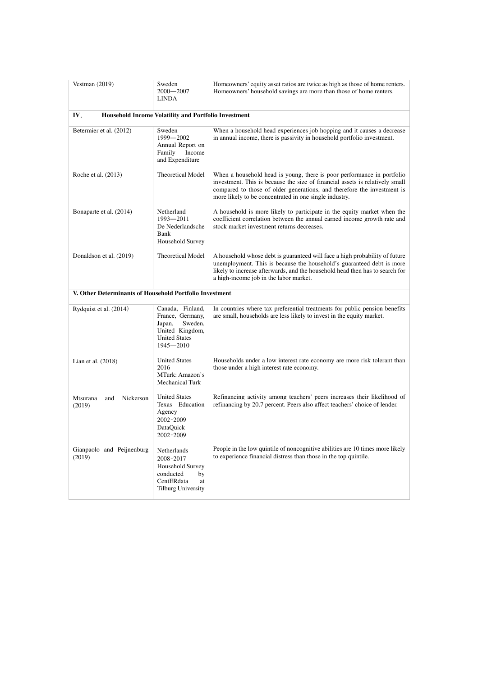| Vestman $(2019)$                                        | Sweden<br>$2000 - 2007$<br><b>LINDA</b>                                                                           | Homeowners' equity asset ratios are twice as high as those of home renters.<br>Homeowners' household savings are more than those of home renters.                                                                                                                                           |
|---------------------------------------------------------|-------------------------------------------------------------------------------------------------------------------|---------------------------------------------------------------------------------------------------------------------------------------------------------------------------------------------------------------------------------------------------------------------------------------------|
| IV.                                                     | Household Income Volatility and Portfolio Investment                                                              |                                                                                                                                                                                                                                                                                             |
| Betermier et al. (2012)                                 | Sweden<br>1999-2002<br>Annual Report on<br>Income<br>Family<br>and Expenditure                                    | When a household head experiences job hopping and it causes a decrease<br>in annual income, there is passivity in household portfolio investment.                                                                                                                                           |
| Roche et al. (2013)                                     | <b>Theoretical Model</b>                                                                                          | When a household head is young, there is poor performance in portfolio<br>investment. This is because the size of financial assets is relatively small<br>compared to those of older generations, and therefore the investment is<br>more likely to be concentrated in one single industry. |
| Bonaparte et al. (2014)                                 | Netherland<br>1993-2011<br>De Nederlandsche<br>Bank<br>Household Survey                                           | A household is more likely to participate in the equity market when the<br>coefficient correlation between the annual earned income growth rate and<br>stock market investment returns decreases.                                                                                           |
| Donaldson et al. (2019)                                 | Theoretical Model                                                                                                 | A household whose debt is guaranteed will face a high probability of future<br>unemployment. This is because the household's guaranteed debt is more<br>likely to increase afterwards, and the household head then has to search for<br>a high-income job in the labor market.              |
| V. Other Determinants of Household Portfolio Investment |                                                                                                                   |                                                                                                                                                                                                                                                                                             |
| Rydquist et al. (2014)                                  | Canada, Finland,<br>France, Germany,<br>Sweden,<br>Japan,<br>United Kingdom,<br><b>United States</b><br>1945-2010 | In countries where tax preferential treatments for public pension benefits<br>are small, households are less likely to invest in the equity market.                                                                                                                                         |
| Lian et al. $(2018)$                                    | <b>United States</b><br>2016<br>MTurk: Amazon's<br>Mechanical Turk                                                | Households under a low interest rate economy are more risk tolerant than<br>those under a high interest rate economy.                                                                                                                                                                       |
| Nickerson<br>Mtsurana<br>and<br>(2019)                  | <b>United States</b><br>Texas Education<br>Agency<br>2002-2009<br>DataQuick<br>2002-2009                          | Refinancing activity among teachers' peers increases their likelihood of<br>refinancing by 20.7 percent. Peers also affect teachers' choice of lender.                                                                                                                                      |
| Gianpaolo and Peijnenburg<br>(2019)                     | Netherlands<br>2008-2017<br>Household Survey<br>conducted<br>by<br>CentERdata<br>at<br>Tilburg University         | People in the low quintile of noncognitive abilities are 10 times more likely<br>to experience financial distress than those in the top quintile.                                                                                                                                           |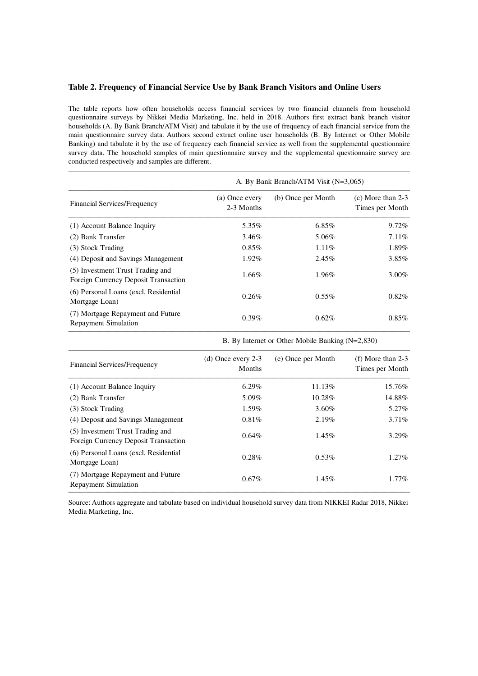# **Table 2. Frequency of Financial Service Use by Bank Branch Visitors and Online Users**

The table reports how often households access financial services by two financial channels from household questionnaire surveys by Nikkei Media Marketing, Inc. held in 2018. Authors first extract bank branch visitor households (A. By Bank Branch/ATM Visit) and tabulate it by the use of frequency of each financial service from the main questionnaire survey data. Authors second extract online user households (B. By Internet or Other Mobile Banking) and tabulate it by the use of frequency each financial service as well from the supplemental questionnaire survey data. The household samples of main questionnaire survey and the supplemental questionnaire survey are conducted respectively and samples are different.

|                                                                          | A. By Bank Branch/ATM Visit (N=3,065) |                    |                                        |  |  |  |
|--------------------------------------------------------------------------|---------------------------------------|--------------------|----------------------------------------|--|--|--|
| Financial Services/Frequency                                             | (a) Once every<br>2-3 Months          | (b) Once per Month | $(c)$ More than 2-3<br>Times per Month |  |  |  |
| (1) Account Balance Inquiry                                              | 5.35%                                 | 6.85%              | $9.72\%$                               |  |  |  |
| (2) Bank Transfer                                                        | 3.46%                                 | 5.06%              | 7.11%                                  |  |  |  |
| (3) Stock Trading                                                        | 0.85%                                 | 1.11%              | 1.89%                                  |  |  |  |
| (4) Deposit and Savings Management                                       | 1.92%                                 | 2.45%              | $3.85\%$                               |  |  |  |
| (5) Investment Trust Trading and<br>Foreign Currency Deposit Transaction | $1.66\%$                              | 1.96%              | $3.00\%$                               |  |  |  |
| (6) Personal Loans (excl. Residential<br>Mortgage Loan)                  | 0.26%                                 | $0.55\%$           | $0.82\%$                               |  |  |  |
| (7) Mortgage Repayment and Future<br><b>Repayment Simulation</b>         | $0.39\%$                              | 0.62%              | $0.85\%$                               |  |  |  |

|  | B. By Internet or Other Mobile Banking (N=2,830) |  |  |  |  |
|--|--------------------------------------------------|--|--|--|--|
|--|--------------------------------------------------|--|--|--|--|

| Financial Services/Frequency                                             | (d) Once every $2-3$<br><b>Months</b> | (e) Once per Month | (f) More than $2-3$<br>Times per Month |
|--------------------------------------------------------------------------|---------------------------------------|--------------------|----------------------------------------|
| (1) Account Balance Inquiry                                              | $6.29\%$                              | 11.13%             | 15.76%                                 |
| (2) Bank Transfer                                                        | 5.09%                                 | 10.28%             | 14.88%                                 |
| (3) Stock Trading                                                        | 1.59%                                 | $3.60\%$           | 5.27%                                  |
| (4) Deposit and Savings Management                                       | 0.81%                                 | 2.19%              | $3.71\%$                               |
| (5) Investment Trust Trading and<br>Foreign Currency Deposit Transaction | 0.64%                                 | 1.45%              | $3.29\%$                               |
| (6) Personal Loans (excl. Residential<br>Mortgage Loan)                  | 0.28%                                 | 0.53%              | $1.27\%$                               |
| (7) Mortgage Repayment and Future<br><b>Repayment Simulation</b>         | $0.67\%$                              | 1.45%              | $1.77\%$                               |

Source: Authors aggregate and tabulate based on individual household survey data from NIKKEI Radar 2018, Nikkei Media Marketing, Inc.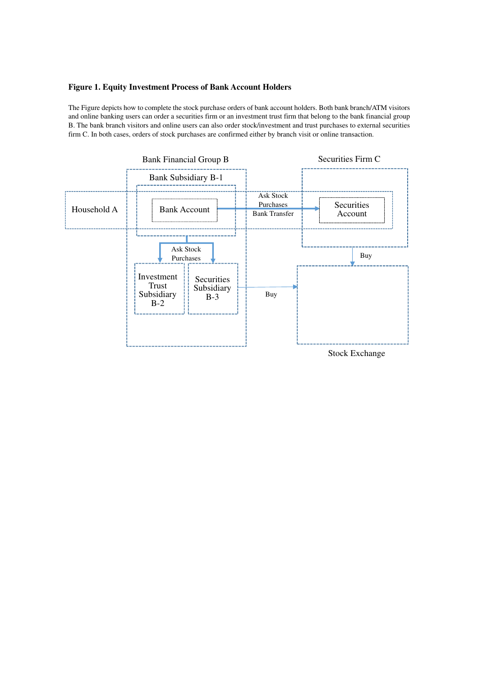# **Figure 1. Equity Investment Process of Bank Account Holders**

The Figure depicts how to complete the stock purchase orders of bank account holders. Both bank branch/ATM visitors and online banking users can order a securities firm or an investment trust firm that belong to the bank financial group B. The bank branch visitors and online users can also order stock/investment and trust purchases to external securities firm C. In both cases, orders of stock purchases are confirmed either by branch visit or online transaction.

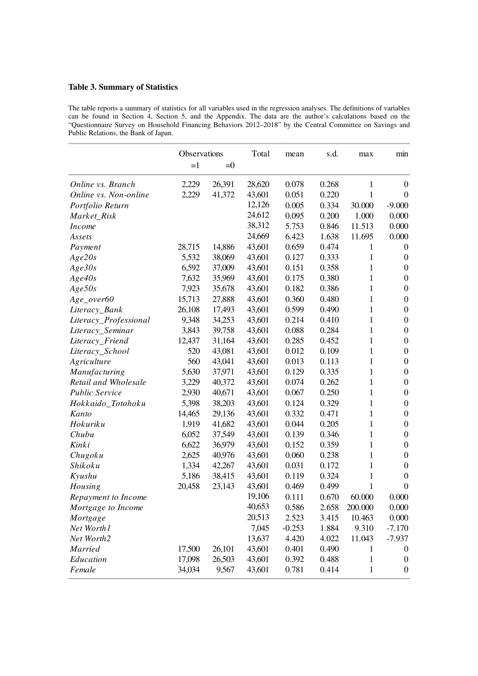# **Table 3. Summary of Statistics**

The table reports a summary of statistics for all variables used in the regression analyses. The definitions of variables can be found in Section 4, Section 5, and the Appendix. The data are the author's calculations based on the "Questionnaire Survey on Household Financing Behaviors 2012–2018" by the Central Committee on Savings and Public Relations, the Bank of Japan.

|                       | Observations |        | Total  | mean     | s.d.  | max          | min              |
|-----------------------|--------------|--------|--------|----------|-------|--------------|------------------|
|                       | $=1$         | $=0$   |        |          |       |              |                  |
| Online vs. Branch     | 2,229        | 26,391 | 28,620 | 0.078    | 0.268 | 1            | $\boldsymbol{0}$ |
| Online vs. Non-online | 2,229        | 41,372 | 43,601 | 0.051    | 0.220 | 1            | $\theta$         |
| Portfolio Return      |              |        | 12,126 | 0.005    | 0.334 | 30.000       | $-9.000$         |
| Market_Risk           |              |        | 24,612 | 0.095    | 0.200 | 1.000        | 0.000            |
| <i>Income</i>         |              |        | 38,312 | 5.753    | 0.846 | 11.513       | 0.000            |
| Assets                |              |        | 24,669 | 6.423    | 1.638 | 11.695       | 0.000            |
| Payment               | 28,715       | 14,886 | 43,601 | 0.659    | 0.474 | 1            | $\boldsymbol{0}$ |
| Age20s                | 5,532        | 38,069 | 43,601 | 0.127    | 0.333 | 1            | $\boldsymbol{0}$ |
| Age30s                | 6,592        | 37,009 | 43,601 | 0.151    | 0.358 | 1            | $\boldsymbol{0}$ |
| Age40s                | 7,632        | 35,969 | 43,601 | 0.175    | 0.380 | 1            | $\boldsymbol{0}$ |
| Age50s                | 7,923        | 35,678 | 43,601 | 0.182    | 0.386 | 1            | $\boldsymbol{0}$ |
| $Age\_over60$         | 15,713       | 27,888 | 43,601 | 0.360    | 0.480 | 1            | $\boldsymbol{0}$ |
| Literacy_Bank         | 26,108       | 17,493 | 43,601 | 0.599    | 0.490 | $\mathbf{1}$ | $\boldsymbol{0}$ |
| Literacy_Professional | 9,348        | 34,253 | 43,601 | 0.214    | 0.410 | 1            | $\boldsymbol{0}$ |
| Literacy_Seminar      | 3,843        | 39,758 | 43,601 | 0.088    | 0.284 | 1            | $\boldsymbol{0}$ |
| Literacy_Friend       | 12,437       | 31,164 | 43,601 | 0.285    | 0.452 | 1            | $\boldsymbol{0}$ |
| Literacy_School       | 520          | 43,081 | 43,601 | 0.012    | 0.109 | 1            | $\boldsymbol{0}$ |
| Agriculture           | 560          | 43,041 | 43,601 | 0.013    | 0.113 | 1            | $\boldsymbol{0}$ |
| Manufacturing         | 5,630        | 37,971 | 43,601 | 0.129    | 0.335 | 1            | $\boldsymbol{0}$ |
| Retail and Wholesale  | 3,229        | 40,372 | 43,601 | 0.074    | 0.262 | $\mathbf{1}$ | $\boldsymbol{0}$ |
| <b>Public Service</b> | 2,930        | 40,671 | 43,601 | 0.067    | 0.250 | 1            | $\boldsymbol{0}$ |
| Hokkaido_Totohoku     | 5,398        | 38,203 | 43,601 | 0.124    | 0.329 | 1            | $\boldsymbol{0}$ |
| Kanto                 | 14,465       | 29,136 | 43,601 | 0.332    | 0.471 | $\mathbf{1}$ | $\boldsymbol{0}$ |
| Hokuriku              | 1,919        | 41,682 | 43,601 | 0.044    | 0.205 | 1            | $\boldsymbol{0}$ |
| Chubu                 | 6,052        | 37,549 | 43,601 | 0.139    | 0.346 | $\mathbf{1}$ | $\boldsymbol{0}$ |
| Kinki                 | 6,622        | 36,979 | 43,601 | 0.152    | 0.359 | 1            | $\boldsymbol{0}$ |
| Chugoku               | 2,625        | 40,976 | 43,601 | 0.060    | 0.238 | 1            | $\boldsymbol{0}$ |
| Shikoku               | 1,334        | 42,267 | 43,601 | 0.031    | 0.172 | 1            | $\boldsymbol{0}$ |
| Kyushu                | 5,186        | 38,415 | 43,601 | 0.119    | 0.324 | 1            | $\boldsymbol{0}$ |
| Housing               | 20,458       | 23,143 | 43,601 | 0.469    | 0.499 | 1            | $\overline{0}$   |
| Repayment to Income   |              |        | 19,106 | 0.111    | 0.670 | 60.000       | 0.000            |
| Mortgage to Income    |              |        | 40,653 | 0.586    | 2.658 | 200.000      | 0.000            |
| Mortgage              |              |        | 20,513 | 2.523    | 3.415 | 10.463       | 0.000            |
| Net Worth1            |              |        | 7,045  | $-0.253$ | 1.884 | 9.310        | $-7.170$         |
| Net Worth2            |              |        | 13,637 | 4.420    | 4.022 | 11.043       | $-7.937$         |
| Married               | 17,500       | 26,101 | 43,601 | 0.401    | 0.490 | 1            | $\boldsymbol{0}$ |
| Education             | 17,098       | 26,503 | 43,601 | 0.392    | 0.488 | $\mathbf{1}$ | $\boldsymbol{0}$ |
| Female                | 34,034       | 9,567  | 43,601 | 0.781    | 0.414 | $\mathbf{1}$ | $\boldsymbol{0}$ |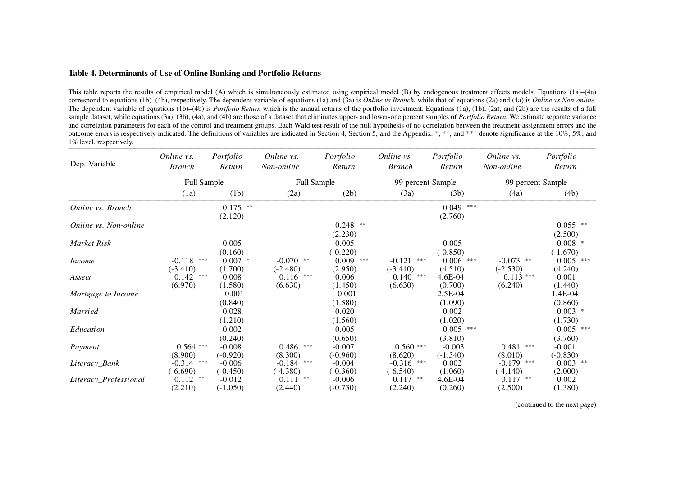# **Table 4. Determinants of Use of Online Banking and Portfolio Returns**

This table reports the results of empirical model (A) which is simultaneously estimated using empirical model (B) by endogenous treatment effects models. Equations (1a)–(4a) correspond to equations (1b)–(4b), respectively. The dependent variable of equations (1a) and (3a) is *Online vs Branch*, while that of equations (2a) and (4a) is *Online vs Non-online.* The dependent variable of equations (1b)–(4b) is *Portfolio Return* which is the annual returns of the portfolio investment. Equations (1a), (1b), (2a), and (2b) are the results of a full sample dataset, while equations (3a), (3b), (4a), and (4b) are those of a dataset that eliminates upper- and lower-one percent samples of *Portfolio Return*. We estimate separate variance and correlation parameters for each of the control and treatment groups. Each Wald test result of the null hypothesis of no correlation between the treatment-assignment errors and the outcome errors is respectively indicated. The definitions of variables are indicated in Section 4, Section 5, and the Appendix. \*, \*\*, and \*\*\* denote significance at the 10%, 5%, and 1% level, respectively.

| Dep. Variable         | Online vs.<br><b>Branch</b> | Portfolio<br>Return | Online vs.<br>Non-online | Portfolio<br>Return | Online vs.<br><b>Branch</b> | Portfolio<br>Return | Online vs.<br>Non-online | Portfolio<br>Return |
|-----------------------|-----------------------------|---------------------|--------------------------|---------------------|-----------------------------|---------------------|--------------------------|---------------------|
|                       | Full Sample                 |                     | <b>Full Sample</b>       |                     | 99 percent Sample           |                     | 99 percent Sample        |                     |
|                       | (1a)                        | (1b)                | (2a)                     | (2b)                | (3a)                        | (3b)                | (4a)                     | (4b)                |
| Online vs. Branch     |                             | $0.175$ **          |                          |                     |                             | $0.049$ ***         |                          |                     |
|                       |                             | (2.120)             |                          |                     |                             | (2.760)             |                          |                     |
| Online vs. Non-online |                             |                     |                          | $0.248$ **          |                             |                     |                          | $0.055$ **          |
|                       |                             |                     |                          | (2.230)             |                             |                     |                          | (2.500)             |
| Market Risk           |                             | 0.005               |                          | $-0.005$            |                             | $-0.005$            |                          | $-0.008$ *          |
|                       |                             | (0.160)             |                          | $(-0.220)$          |                             | $(-0.850)$          |                          | $(-1.670)$          |
| <b>Income</b>         | $-0.118$<br>***             | $0.007$ *           | $-0.070$ **              | $0.009$ ***         | $-0.121$<br>***             | ***<br>0.006        | $-0.073$ **              | $0.005$ ***         |
|                       | $(-3.410)$                  | (1.700)             | $(-2.480)$               | (2.950)             | $(-3.410)$                  | (4.510)             | $(-2.530)$               | (4.240)             |
| Assets                | 0.142<br>***                | 0.008               | 0.116<br>***             | 0.006               | 0.140<br>***                | 4.6E-04             | $0.113***$               | 0.001               |
|                       | (6.970)                     | (1.580)             | (6.630)                  | (1.450)             | (6.630)                     | (0.700)             | (6.240)                  | (1.440)             |
| Mortgage to Income    |                             | 0.001               |                          | 0.001               |                             | 2.5E-04             |                          | 1.4E-04             |
|                       |                             | (0.840)             |                          | (1.580)             |                             | (1.090)             |                          | (0.860)             |
| Married               |                             | 0.028               |                          | 0.020               |                             | 0.002               |                          | $0.003$ *           |
|                       |                             | (1.210)             |                          | (1.560)             |                             | (1.020)             |                          | (1.730)             |
| Education             |                             | 0.002               |                          | 0.005               |                             | $0.005$ ***         |                          | $0.005$ ***         |
|                       |                             | (0.240)             |                          | (0.650)             |                             | (3.810)             |                          | (3.760)             |
| Payment               | $0.564$ ***                 | $-0.008$            | $0.486$ ***              | $-0.007$            | $0.560$ ***                 | $-0.003$            | 0.481<br>***             | $-0.001$            |
|                       | (8.900)                     | $(-0.920)$          | (8.300)                  | $(-0.960)$          | (8.620)                     | $(-1.540)$          | (8.010)                  | $(-0.830)$          |
| Literacy_Bank         | $\ast\ast\ast$<br>$-0.314$  | $-0.006$            | $-0.184$ ***             | $-0.004$            | $-0.316$ ***                | 0.002               | $-0.179$ ***             | $0.003$ **          |
|                       | $(-6.690)$                  | $(-0.450)$          | $(-4.380)$               | $(-0.360)$          | $(-6.540)$                  | (1.060)             | $(-4.140)$               | (2.000)             |
| Literacy_Professional | $0.112$ **                  | $-0.012$            | $0.111$ **               | $-0.006$            | $0.117$ **                  | 4.6E-04             | $0.117$ **               | 0.002               |
|                       | (2.210)                     | $(-1.050)$          | (2.440)                  | $(-0.730)$          | (2.240)                     | (0.260)             | (2.500)                  | (1.380)             |

(continued to the next page)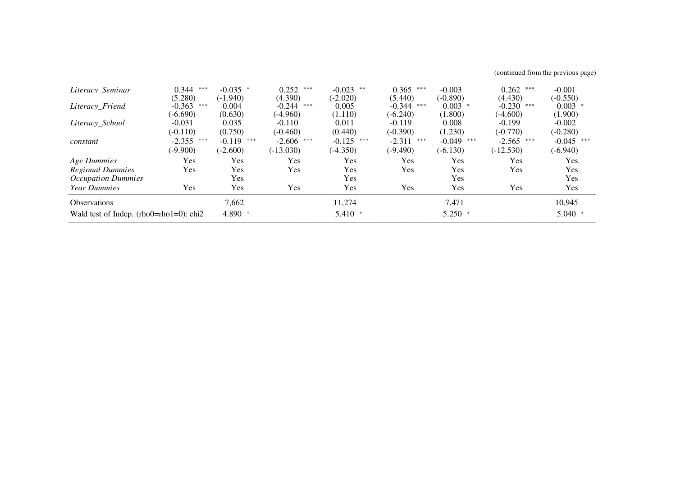(continued from the previous page)

| Literacy Seminar                           | ***<br>0.344 | $-0.035$ *   | $0.252$ ***     | $-0.023$ **     | ***<br>0.365    | $-0.003$     | $0.262$ ***  | $-0.001$     |
|--------------------------------------------|--------------|--------------|-----------------|-----------------|-----------------|--------------|--------------|--------------|
|                                            | (5.280)      | $(-1.940)$   | (4.390)         | $(-2.020)$      | (5.440)         | $(-0.890)$   | (4.430)      | $(-0.550)$   |
| Literacy Friend                            | $-0.363$ *** | 0.004        | $-0.244$<br>*** | 0.005           | $-0.344$<br>*** | $0.003$ *    | $-0.230$ *** | $0.003$ *    |
|                                            | $(-6.690)$   | (0.630)      | $(-4.960)$      | (1.110)         | $(-6.240)$      | (1.800)      | $(-4.600)$   | (1.900)      |
| Literacy School                            | $-0.031$     | 0.035        | $-0.110$        | 0.011           | $-0.119$        | 0.008        | $-0.199$     | $-0.002$     |
|                                            | $(-0.110)$   | (0.750)      | $(-0.460)$      | (0.440)         | $(-0.390)$      | (1.230)      | $(-0.770)$   | $(-0.280)$   |
| constant                                   | $-2.355$ *** | $-0.119$ *** | $-2.606$ ***    | ***<br>$-0.125$ | $-2.311$<br>*** | $-0.049$ *** | $-2.565$ *** | $-0.045$ *** |
|                                            | $(-9.900)$   | $(-2.600)$   | $(-13.030)$     | $(-4.350)$      | $(-9.490)$      | $(-6.130)$   | $(-12.530)$  | $(-6.940)$   |
| Age Dummies                                | Yes          | Yes          | Yes             | Yes             | Yes             | Yes          | Yes          | Yes          |
| <b>Regional Dummies</b>                    | Yes          | Yes          | Yes             | Yes             | Yes             | Yes          | Yes          | Yes          |
| <b>Occupation Dummies</b>                  |              | Yes          |                 | Yes             |                 | Yes          |              | Yes          |
| Year Dummies                               | Yes          | Yes          | Yes             | Yes             | Yes             | Yes          | Yes          | Yes          |
| <b>Observations</b>                        |              | 7,662        |                 | 11,274          |                 | 7,471        |              | 10,945       |
| Wald test of Indep. $(rho0=rho1=0)$ : chi2 |              | 4.890 *      |                 | $5.410*$        |                 | $5.250$ *    |              | $5.040*$     |
|                                            |              |              |                 |                 |                 |              |              |              |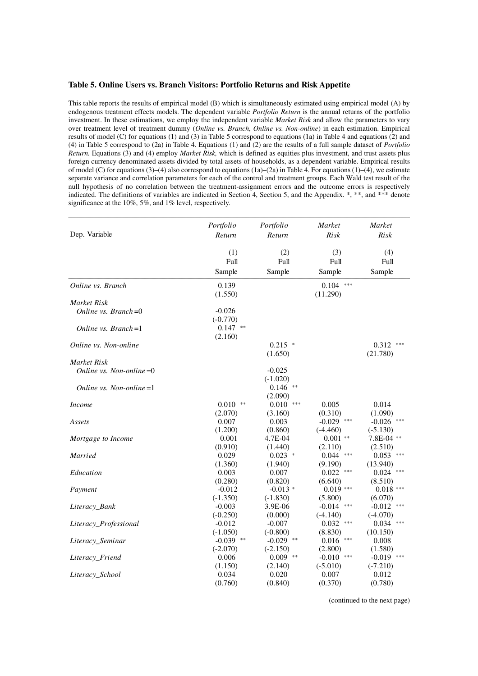#### **Table 5. Online Users vs. Branch Visitors: Portfolio Returns and Risk Appetite**

This table reports the results of empirical model (B) which is simultaneously estimated using empirical model (A) by endogenous treatment effects models. The dependent variable *Portfolio Return* is the annual returns of the portfolio investment. In these estimations, we employ the independent variable *Market Risk* and allow the parameters to vary over treatment level of treatment dummy (*Online vs. Branch*, *Online vs. Non-online*) in each estimation. Empirical results of model (C) for equations (1) and (3) in Table 5 correspond to equations (1a) in Table 4 and equations (2) and (4) in Table 5 correspond to (2a) in Table 4. Equations (1) and (2) are the results of a full sample dataset of *Portfolio Return.* Equations (3) and (4) employ *Market Risk,* which is defined as equities plus investment, and trust assets plus foreign currency denominated assets divided by total assets of households, as a dependent variable. Empirical results of model (C) for equations (3)–(4) also correspond to equations (1a)–(2a) in Table 4. For equations (1)–(4), we estimate separate variance and correlation parameters for each of the control and treatment groups. Each Wald test result of the null hypothesis of no correlation between the treatment-assignment errors and the outcome errors is respectively indicated. The definitions of variables are indicated in Section 4, Section 5, and the Appendix. \*, \*\*, and \*\*\* denote significance at the 10%, 5%, and 1% level, respectively.

|                            | Portfolio              | Portfolio               | <b>Market</b>              | <b>Market</b>              |
|----------------------------|------------------------|-------------------------|----------------------------|----------------------------|
| Dep. Variable              | Return                 | Return                  | Risk                       | Risk                       |
|                            |                        |                         |                            |                            |
|                            | (1)<br>Full            | (2)<br>Full             | (3)<br>Full                | (4)<br>Full                |
|                            | Sample                 | Sample                  | Sample                     | Sample                     |
|                            |                        |                         |                            |                            |
| Online vs. Branch          | 0.139                  |                         | $0.104$ ***                |                            |
| Market Risk                | (1.550)                |                         | (11.290)                   |                            |
| Online vs. Branch= $0$     | $-0.026$               |                         |                            |                            |
|                            | $(-0.770)$             |                         |                            |                            |
| Online vs. Branch= $1$     | $0.147$ **             |                         |                            |                            |
|                            | (2.160)                |                         |                            |                            |
| Online vs. Non-online      |                        | $0.215$ *               |                            | 0.312<br>***               |
|                            |                        | (1.650)                 |                            | (21.780)                   |
| Market Risk                |                        |                         |                            |                            |
| Online vs. Non-online $=0$ |                        | $-0.025$                |                            |                            |
|                            |                        | $(-1.020)$              |                            |                            |
| Online vs. Non-online $=1$ |                        | $0.146$ **              |                            |                            |
|                            |                        | (2.090)                 |                            |                            |
| <b>Income</b>              | $0.010$ **             | 0.010<br>***            | 0.005                      | 0.014                      |
|                            | (2.070)                | (3.160)                 | (0.310)                    | (1.090)                    |
| Assets                     | 0.007                  | 0.003                   | $-0.029$<br>$***$          | $-0.026$<br>***            |
|                            | (1.200)                | (0.860)                 | $(-4.460)$                 | $(-5.130)$                 |
| Mortgage to Income         | 0.001                  | 4.7E-04                 | $0.001$ **                 | 7.8E-04 **                 |
|                            | (0.910)                | (1.440)                 | (2.110)                    | (2.510)                    |
| Married                    | 0.029                  | $0.023$ *               | 0.044<br>***               | 0.053<br>***               |
|                            | (1.360)                | (1.940)                 | (9.190)                    | (13.940)                   |
| Education                  | 0.003                  | 0.007                   | 0.022<br>***               | 0.024<br>***               |
|                            | (0.280)                | (0.820)                 | (6.640)                    | (8.510)                    |
| Payment                    | $-0.012$<br>$(-1.350)$ | $-0.013*$<br>$(-1.830)$ | $0.019***$                 | $0.018$ ***                |
|                            | $-0.003$               | 3.9E-06                 | (5.800)<br>$-0.014$<br>*** | (6.070)<br>$-0.012$<br>*** |
| Literacy_Bank              | $(-0.250)$             | (0.000)                 | $(-4.140)$                 | $(-4.070)$                 |
| Literacy_Professional      | $-0.012$               | $-0.007$                | 0.032<br>***               | 0.034<br>***               |
|                            | $(-1.050)$             | $(-0.800)$              | (8.830)                    | (10.150)                   |
| Literacy_Seminar           | $-0.039$ **            | $-0.029$ **             | 0.016<br>***               | 0.008                      |
|                            | $(-2.070)$             | $(-2.150)$              | (2.800)                    | (1.580)                    |
| Literacy_Friend            | 0.006                  | $0.009$ **              | $-0.010$<br>***            | $-0.019$ ***               |
|                            | (1.150)                | (2.140)                 | $(-5.010)$                 | $(-7.210)$                 |
| Literacy_School            | 0.034                  | 0.020                   | 0.007                      | 0.012                      |
|                            | (0.760)                | (0.840)                 | (0.370)                    | (0.780)                    |

(continued to the next page)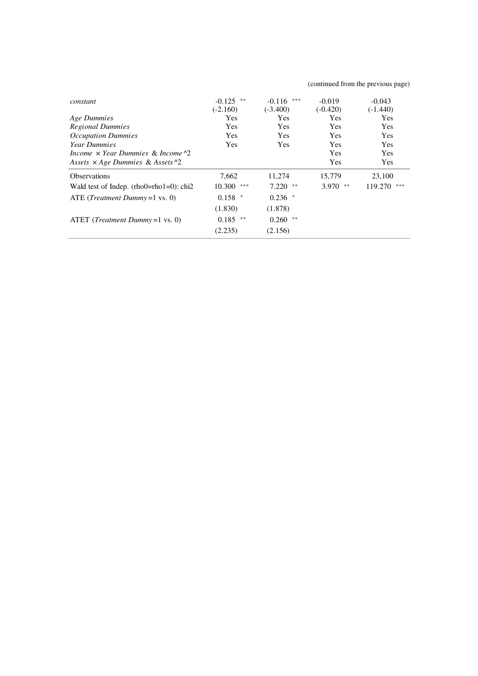| constant                                            | **<br>$-0.125$<br>$(-2.160)$ | ***<br>$-0.116$<br>$(-3.400)$ | $-0.019$<br>$(-0.420)$ | $-0.043$<br>$(-1.440)$ |
|-----------------------------------------------------|------------------------------|-------------------------------|------------------------|------------------------|
| Age Dummies                                         | Yes                          | Yes                           | <b>Yes</b>             | <b>Yes</b>             |
| <b>Regional Dummies</b>                             | <b>Yes</b>                   | <b>Yes</b>                    | <b>Yes</b>             | <b>Yes</b>             |
| <b>Occupation Dummies</b>                           | <b>Yes</b>                   | <b>Yes</b>                    | <b>Yes</b>             | <b>Yes</b>             |
| <b>Year Dummies</b>                                 | <b>Yes</b>                   | <b>Yes</b>                    | <b>Yes</b>             | <b>Yes</b>             |
| Income $\times$ Year Dummies & Income $\frac{1}{2}$ |                              |                               | <b>Yes</b>             | <b>Yes</b>             |
| Assets $\times$ Age Dummies & Assets $\sim$ 2       |                              |                               | <b>Yes</b>             | Yes                    |
| <b>Observations</b>                                 | 7,662                        | 11,274                        | 15,779                 | 23,100                 |
| Wald test of Indep. (rho0=rho1=0): chi2             | $10.300$ ***                 | 7.220<br>**                   | 3.970<br>**            | 119.270<br>***         |
| ATE ( <i>Treatment Dummy</i> = $1$ vs. 0)           | $0.158$ *                    | $0.236$ *                     |                        |                        |
|                                                     | (1.830)                      | (1.878)                       |                        |                        |
| ATET ( <i>Treatment Dummy</i> = $1$ vs. 0)          | $0.185$ **                   | $0.260$ **                    |                        |                        |
|                                                     | (2.235)                      | (2.156)                       |                        |                        |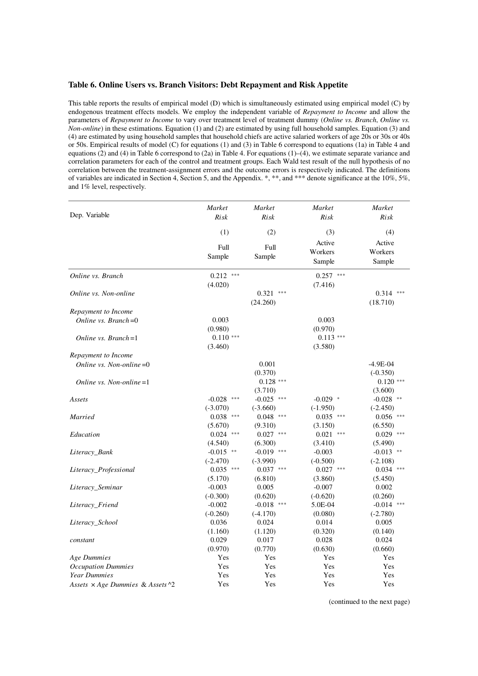#### **Table 6. Online Users vs. Branch Visitors: Debt Repayment and Risk Appetite**

This table reports the results of empirical model (D) which is simultaneously estimated using empirical model (C) by endogenous treatment effects models. We employ the independent variable of *Repayment to Income* and allow the parameters of *Repayment to Income* to vary over treatment level of treatment dummy (*Online vs. Branch*, *Online vs. Non-online*) in these estimations. Equation (1) and (2) are estimated by using full household samples. Equation (3) and (4) are estimated by using household samples that household chiefs are active salaried workers of age 20s or 30s or 40s or 50s. Empirical results of model (C) for equations (1) and (3) in Table 6 correspond to equations (1a) in Table 4 and equations  $(2)$  and  $(4)$  in Table 6 correspond to  $(2a)$  in Table 4. For equations  $(1)$ – $(4)$ , we estimate separate variance and correlation parameters for each of the control and treatment groups. Each Wald test result of the null hypothesis of no correlation between the treatment-assignment errors and the outcome errors is respectively indicated. The definitions of variables are indicated in Section 4, Section 5, and the Appendix. \*, \*\*, and \*\*\* denote significance at the 10%, 5%, and 1% level, respectively.

|                                                    | Market          | Market       | Market       | Market       |
|----------------------------------------------------|-----------------|--------------|--------------|--------------|
| Dep. Variable                                      | Risk            | Risk         | Risk         | Risk         |
|                                                    | (1)             | (2)          | (3)          | (4)          |
|                                                    | Full            | Full         | Active       | Active       |
|                                                    | Sample          | Sample       | Workers      | Workers      |
|                                                    |                 |              | Sample       | Sample       |
| Online vs. Branch                                  | $0.212$ ***     |              | $0.257$ ***  |              |
|                                                    | (4.020)         |              | (7.416)      |              |
| Online vs. Non-online                              |                 | 0.321        |              | 0.314        |
|                                                    |                 | (24.260)     |              | (18.710)     |
| Repayment to Income                                |                 |              |              |              |
| Online vs. Branch=0                                | 0.003           |              | 0.003        |              |
|                                                    | (0.980)         |              | (0.970)      |              |
| Online vs. $Branch = 1$                            | $0.110$ ***     |              | $0.113$ ***  |              |
|                                                    | (3.460)         |              | (3.580)      |              |
| Repayment to Income                                |                 |              |              |              |
| Online vs. Non-online $=0$                         |                 | 0.001        |              | $-4.9E-04$   |
|                                                    |                 | (0.370)      |              | $(-0.350)$   |
| Online vs. Non-online $=1$                         |                 | $0.128$ ***  |              | $0.120$ ***  |
|                                                    |                 | (3.710)      |              | (3.600)      |
| Assets                                             | $-0.028$<br>*** | $-0.025$ *** | $-0.029$ *   | $-0.028$ **  |
|                                                    | $(-3.070)$      | $(-3.660)$   | $(-1.950)$   | $(-2.450)$   |
| Married                                            | 0.038<br>***    | $0.048$ ***  | $0.035$ ***  | $0.056$ ***  |
|                                                    | (5.670)         | (9.310)      | (3.150)      | (6.550)      |
| Education                                          | $0.024$ ***     | $0.027$ ***  | 0.021<br>*** | $0.029$ ***  |
|                                                    | (4.540)         | (6.300)      | (3.410)      | (5.490)      |
| Literacy_Bank                                      | $-0.015$ **     | $-0.019$ *** | $-0.003$     | $-0.013$ **  |
|                                                    | $(-2.470)$      | $(-3.990)$   | $(-0.500)$   | $(-2.108)$   |
| Literacy_Professional                              | $0.035$ ***     | $0.037$ ***  | $0.027$ ***  | $0.034$ ***  |
|                                                    | (5.170)         | (6.810)      | (3.860)      | (5.450)      |
| Literacy_Seminar                                   | $-0.003$        | 0.005        | $-0.007$     | 0.002        |
|                                                    | $(-0.300)$      | (0.620)      | $(-0.620)$   | (0.260)      |
| Literacy_Friend                                    | $-0.002$        | $-0.018$ *** | 5.0E-04      | $-0.014$ *** |
|                                                    | $(-0.260)$      | $(-4.170)$   | (0.080)      | $(-2.780)$   |
| Literacy_School                                    | 0.036           | 0.024        | 0.014        | 0.005        |
|                                                    | (1.160)         | (1.120)      | (0.320)      | (0.140)      |
| constant                                           | 0.029           | 0.017        | 0.028        | 0.024        |
|                                                    | (0.970)         | (0.770)      | (0.630)      | (0.660)      |
| Age Dummies                                        | Yes             | Yes          | Yes          | Yes          |
| <b>Occupation Dummies</b>                          | Yes             | Yes          | Yes          | Yes          |
| <b>Year Dummies</b>                                | Yes             | Yes          | Yes          | Yes          |
| Assets $\times$ Age Dummies & Assets $\frac{1}{2}$ | Yes             | Yes          | Yes          | Yes          |

(continued to the next page)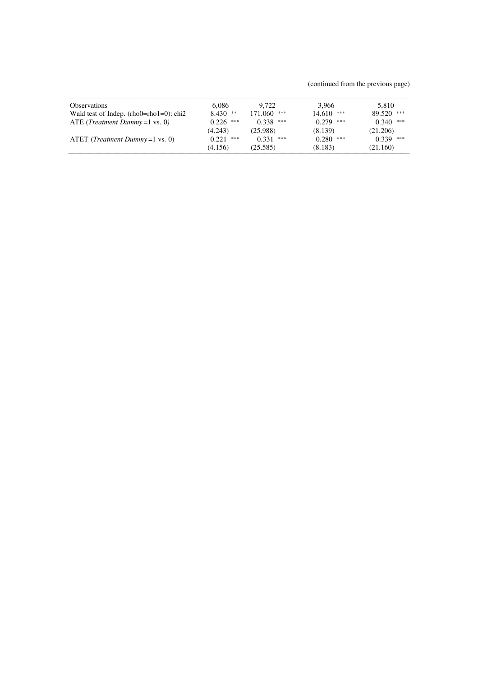(continued from the previous page)

| <b>Observations</b><br>Wald test of Indep. $(rho0=rho1=0)$ : chi2 | 6.086<br>$8.430$ **     | 9.722<br>$171.060$ ***   | 3.966<br>$14.610$ ***   | 5.810<br>$89.520$ ***   |
|-------------------------------------------------------------------|-------------------------|--------------------------|-------------------------|-------------------------|
| ATE ( <i>Treatment Dummy</i> = $1$ vs. 0)                         | 0.226<br>***            | 0.338<br>***             | 0.279<br>***            | $0.340$ ***             |
| ATET ( <i>Treatment Dummy</i> = $1$ vs. 0)                        | (4.243)<br>0.221<br>*** | (25.988)<br>0.331<br>*** | (8.139)<br>0.280<br>*** | (21.206)<br>$0.339$ *** |
|                                                                   | (4.156)                 | (25.585)                 | (8.183)                 | (21.160)                |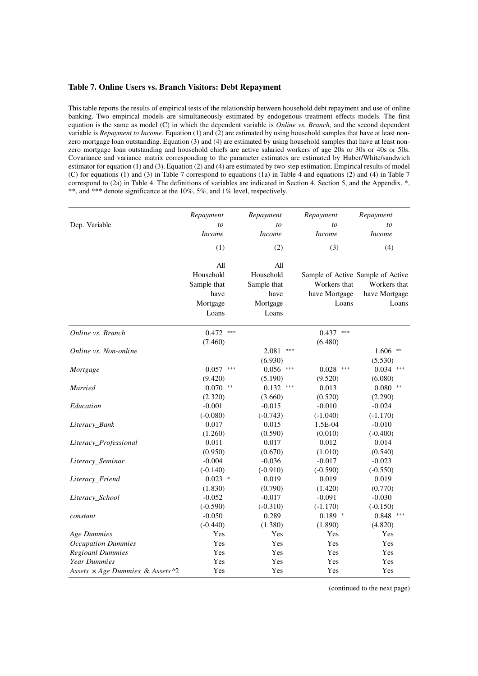# **Table 7. Online Users vs. Branch Visitors: Debt Repayment**

This table reports the results of empirical tests of the relationship between household debt repayment and use of online banking. Two empirical models are simultaneously estimated by endogenous treatment effects models. The first equation is the same as model (C) in which the dependent variable is *Online vs. Branch,* and the second dependent variable is *Repayment to Income*. Equation (1) and (2) are estimated by using household samples that have at least nonzero mortgage loan outstanding. Equation (3) and (4) are estimated by using household samples that have at least nonzero mortgage loan outstanding and household chiefs are active salaried workers of age 20s or 30s or 40s or 50s. Covariance and variance matrix corresponding to the parameter estimates are estimated by Huber/White/sandwich estimator for equation (1) and (3). Equation (2) and (4) are estimated by two-step estimation. Empirical results of model (C) for equations (1) and (3) in Table 7 correspond to equations (1a) in Table 4 and equations (2) and (4) in Table 7 correspond to (2a) in Table 4. The definitions of variables are indicated in Section 4, Section 5, and the Appendix.  $*,$ \*\*, and \*\*\* denote significance at the 10%, 5%, and 1% level, respectively.

|                                                    | Repayment      | Repayment      | Repayment                         | Repayment<br>to |  |
|----------------------------------------------------|----------------|----------------|-----------------------------------|-----------------|--|
| Dep. Variable                                      | to             | to             | to                                |                 |  |
|                                                    | <i>Income</i>  | <b>Income</b>  | <b>Income</b>                     | <b>Income</b>   |  |
|                                                    | (1)            | (2)            | (3)                               | (4)             |  |
|                                                    | All            | All            |                                   |                 |  |
|                                                    | Household      | Household      | Sample of Active Sample of Active |                 |  |
|                                                    | Sample that    | Sample that    | Workers that                      | Workers that    |  |
|                                                    | have           | have           | have Mortgage                     | have Mortgage   |  |
|                                                    | Mortgage       | Mortgage       | Loans                             | Loans           |  |
|                                                    | Loans          | Loans          |                                   |                 |  |
| Online vs. Branch                                  | $***$<br>0.472 |                | $***$<br>0.437                    |                 |  |
|                                                    | (7.460)        |                | (6.480)                           |                 |  |
| Online vs. Non-online                              |                | 2.081<br>$***$ |                                   | $1.606$ **      |  |
|                                                    |                | (6.930)        |                                   | (5.530)         |  |
| Mortgage                                           | $0.057$ ***    | $0.056$ ***    | $0.028$ ***                       | $0.034$ ***     |  |
|                                                    | (9.420)        | (5.190)        | (9.520)                           | (6.080)         |  |
| Married                                            | 0.070<br>$**$  | 0.132<br>***   | 0.013                             | $0.080$ **      |  |
|                                                    | (2.320)        | (3.660)        | (0.520)                           | (2.290)         |  |
| Education                                          | $-0.001$       | $-0.015$       | $-0.010$                          | $-0.024$        |  |
|                                                    | $(-0.080)$     | $(-0.743)$     | $(-1.040)$                        | $(-1.170)$      |  |
| Literacy_Bank                                      | 0.017          | 0.015          | 1.5E-04                           | $-0.010$        |  |
|                                                    | (1.260)        | (0.590)        | (0.010)                           | $(-0.400)$      |  |
| Literacy_Professional                              | 0.011          | 0.017          | 0.012                             | 0.014           |  |
|                                                    | (0.950)        | (0.670)        | (1.010)                           | (0.540)         |  |
| Literacy_Seminar                                   | $-0.004$       | $-0.036$       | $-0.017$                          | $-0.023$        |  |
|                                                    | $(-0.140)$     | $(-0.910)$     | $(-0.590)$                        | $(-0.550)$      |  |
| Literacy_Friend                                    | $0.023$ *      | 0.019          | 0.019                             | 0.019           |  |
|                                                    | (1.830)        | (0.790)        | (1.420)                           | (0.770)         |  |
| Literacy School                                    | $-0.052$       | $-0.017$       | $-0.091$                          | $-0.030$        |  |
|                                                    | $(-0.590)$     | $(-0.310)$     | $(-1.170)$                        | $(-0.150)$      |  |
| constant                                           | $-0.050$       | 0.289          | $0.189$ *                         | $0.848$ ***     |  |
|                                                    | $(-0.440)$     | (1.380)        | (1.890)                           | (4.820)         |  |
| Age Dummies                                        | Yes            | Yes            | Yes                               | Yes             |  |
| <b>Occupation Dummies</b>                          | Yes            | Yes            | Yes                               | Yes             |  |
| <b>Regioanl Dummies</b>                            | Yes            | Yes            | Yes                               | Yes             |  |
| <b>Year Dummies</b>                                | Yes            | Yes            | Yes                               | Yes             |  |
| Assets $\times$ Age Dummies & Assets $\frac{1}{2}$ | Yes            | Yes            | Yes                               | Yes             |  |

(continued to the next page)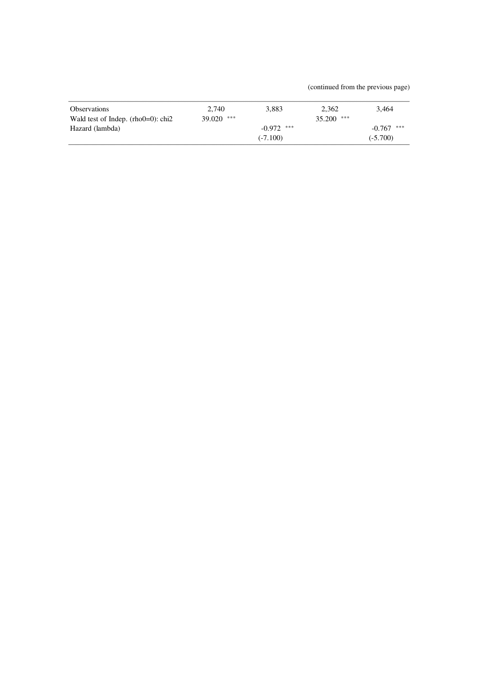(continued from the previous page)

| <b>Observations</b>                   | 2.740        | 3.883        | 2.362        | 3.464        |
|---------------------------------------|--------------|--------------|--------------|--------------|
| Wald test of Indep. $(rho0=0)$ : chi2 | $39.020$ *** |              | $35.200$ *** |              |
| Hazard (lambda)                       |              | $-0.972$ *** |              | $-0.767$ *** |
|                                       |              | $(-7.100)$   |              | $(-5.700)$   |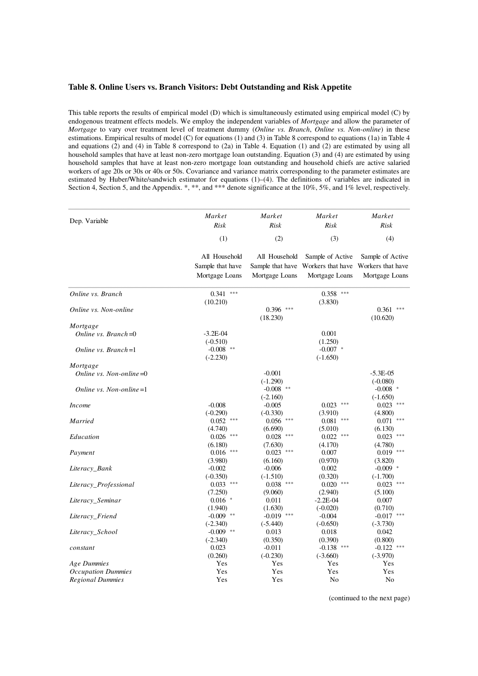# **Table 8. Online Users vs. Branch Visitors: Debt Outstanding and Risk Appetite**

This table reports the results of empirical model (D) which is simultaneously estimated using empirical model (C) by endogenous treatment effects models. We employ the independent variables of *Mortgage* and allow the parameter of *Mortgage* to vary over treatment level of treatment dummy (*Online vs. Branch*, *Online vs. Non-online*) in these estimations. Empirical results of model (C) for equations (1) and (3) in Table 8 correspond to equations (1a) in Table 4 and equations (2) and (4) in Table 8 correspond to (2a) in Table 4. Equation (1) and (2) are estimated by using all household samples that have at least non-zero mortgage loan outstanding. Equation (3) and (4) are estimated by using household samples that have at least non-zero mortgage loan outstanding and household chiefs are active salaried workers of age 20s or 30s or 40s or 50s. Covariance and variance matrix corresponding to the parameter estimates are estimated by Huber/White/sandwich estimator for equations (1)–(4). The definitions of variables are indicated in Section 4, Section 5, and the Appendix. \*, \*\*, and \*\*\* denote significance at the 10%, 5%, and 1% level, respectively.

| Dep. Variable              | Market<br>Risk                                      | Market<br>Risk                                      | Market<br>Risk                                          | Market<br>Risk                                          |
|----------------------------|-----------------------------------------------------|-----------------------------------------------------|---------------------------------------------------------|---------------------------------------------------------|
|                            | (1)                                                 | (2)                                                 | (3)                                                     | (4)                                                     |
|                            | All Household<br>Sample that have<br>Mortgage Loans | All Household<br>Sample that have<br>Mortgage Loans | Sample of Active<br>Workers that have<br>Mortgage Loans | Sample of Active<br>Workers that have<br>Mortgage Loans |
| Online vs. Branch          | $0.341$ ***<br>(10.210)                             |                                                     | $0.358$ ***<br>(3.830)                                  |                                                         |
| Online vs. Non-online      |                                                     | 0.396<br>***<br>(18.230)                            |                                                         | 0.361<br>(10.620)                                       |
| Mortgage                   |                                                     |                                                     |                                                         |                                                         |
| Online vs. Branch= $0$     | $-3.2E - 04$<br>$(-0.510)$                          |                                                     | 0.001<br>(1.250)                                        |                                                         |
| Online vs. Branch= $1$     | $-0.008$ **<br>$(-2.230)$                           |                                                     | $-0.007$ *<br>$(-1.650)$                                |                                                         |
| Mortgage                   |                                                     |                                                     |                                                         |                                                         |
| Online vs. Non-online $=0$ |                                                     | $-0.001$<br>$(-1.290)$                              |                                                         | $-5.3E-05$<br>$(-0.080)$                                |
| Online vs. Non-online $=1$ |                                                     | $-0.008$ **<br>$(-2.160)$                           |                                                         | $-0.008$ *<br>$(-1.650)$                                |
| <i>Income</i>              | $-0.008$<br>$(-0.290)$                              | $-0.005$<br>$(-0.330)$                              | $0.023$ ***<br>(3.910)                                  | $0.023$ ***<br>(4.800)                                  |
| Married                    | 0.052<br>***<br>(4.740)                             | ***<br>0.056<br>(6.690)                             | 0.081<br>***<br>(5.010)                                 | 0.071<br>***<br>(6.130)                                 |
| Education                  | 0.026<br>***<br>(6.180)                             | 0.028<br>***<br>(7.630)                             | 0.022<br>***<br>(4.170)                                 | 0.023<br>***<br>(4.780)                                 |
| Payment                    | ***<br>0.016<br>(3.980)                             | ***<br>0.023<br>(6.160)                             | 0.007<br>(0.970)                                        | 0.019<br>***<br>(3.820)                                 |
| Literacy_Bank              | $-0.002$<br>$(-0.350)$                              | $-0.006$<br>$(-1.510)$                              | 0.002<br>(0.320)                                        | $-0.009$ *<br>$(-1.700)$                                |
| Literacy_Professional      | $0.033$ ***<br>(7.250)                              | $0.038$ ***<br>(9.060)                              | $0.020$ ***<br>(2.940)                                  | $0.023$ ***<br>(5.100)                                  |
| Literacy_Seminar           | $0.016$ *<br>(1.940)                                | 0.011<br>(1.630)                                    | $-2.2E-04$<br>$(-0.020)$                                | 0.007<br>(0.710)                                        |
| Literacy Friend            | $-0.009$ **<br>$(-2.340)$                           | $-0.019$ ***<br>$(-5.440)$                          | $-0.004$<br>$(-0.650)$                                  | $-0.017$ ***<br>$(-3.730)$                              |
| Literacy_School            | $-0.009$ **<br>$(-2.340)$                           | 0.013<br>(0.350)                                    | 0.018<br>(0.390)                                        | 0.042<br>(0.800)                                        |
| constant                   | 0.023<br>(0.260)                                    | $-0.011$<br>$(-0.230)$                              | $-0.138$<br>***<br>$(-3.660)$                           | $-0.122$<br>***<br>$(-3.970)$                           |
| Age Dummies                | Yes                                                 | Yes                                                 | Yes                                                     | Yes                                                     |
| <b>Occupation Dummies</b>  | Yes                                                 | Yes                                                 | Yes                                                     | Yes                                                     |
| <b>Regional Dummies</b>    | Yes                                                 | Yes                                                 | No                                                      | No                                                      |

(continued to the next page)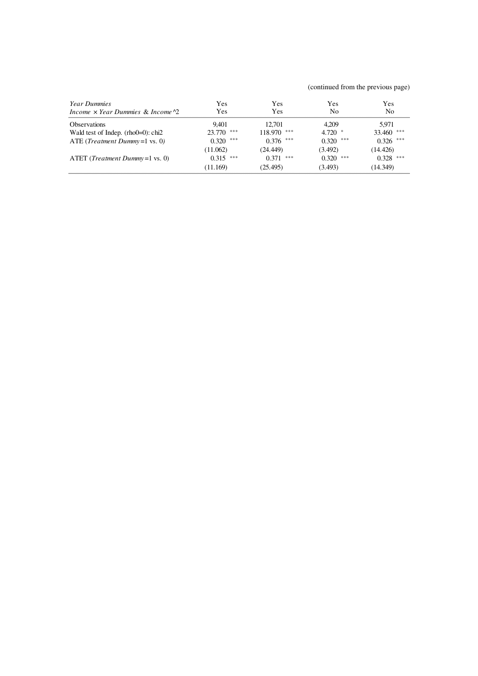(continued from the previous page)

| <i>Year Dummies</i><br>Income $\times$ Year Dummies & Income $\sqrt{2}$ | Yes<br>Yes   | Yes<br>Yes     | Yes<br>No    | Yes<br>N <sub>0</sub> |
|-------------------------------------------------------------------------|--------------|----------------|--------------|-----------------------|
| <b>Observations</b>                                                     | 9.401        | 12.701         | 4.209        | 5.971                 |
| Wald test of Indep. $(rho0=0)$ : chi2                                   | $23.770$ *** | ***<br>118.970 | $4.720$ *    | 33.460 ***            |
| ATE ( <i>Treatment Dummy</i> = $1$ vs. 0)                               | $0.320$ ***  | ***<br>0.376   | ***<br>0.320 | $0.326$ ***           |
|                                                                         | (11.062)     | (24.449)       | (3.492)      | (14.426)              |
| $\text{ATET}$ ( <i>Treatment Dummy</i> = 1 vs. 0)                       | $0.315$ ***  | ***<br>0.371   | $0.320$ ***  | $0.328$ ***           |
|                                                                         | (11.169)     | (25.495)       | (3.493)      | (14.349)              |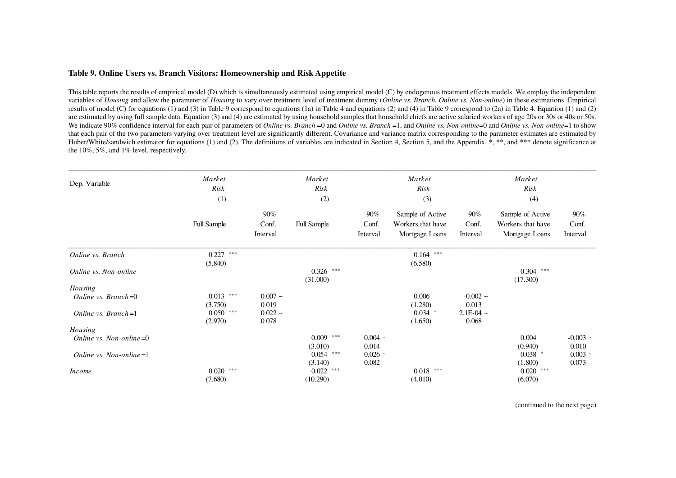# **Table 9. Online Users vs. Branch Visitors: Homeownership and Risk Appetite**

This table reports the results of empirical model (D) which is simultaneously estimated using empirical model (C) by endogenous treatment effects models. We employ the independent variables of *Housing* and allow the parameter of *Housing* to vary over treatment level of treatment dummy (*Online vs. Branch*, *Online vs. Non-online*) in these estimations. Empirical results of model (C) for equations (1) and (3) in Table 9 correspond to equations (1a) in Table 4 and equations (2) and (4) in Table 9 correspond to (2a) in Table 4. Equation (1) and (2) are estimated by using full sample data. Equation (3) and (4) are estimated by using household samples that household chiefs are active salaried workers of age 20s or 30s or 40s or 50s. We indicate 90% confidence interval for each pair of parameters of *Online vs. Branch* =0 and *Online vs. Branch* =1, and *Online vs. Non-online*=0 and *Online vs. Non-online*=1 to show that each pair of the two parameters varying over treatment level are significantly different. Covariance and variance matrix corresponding to the parameter estimates are estimated by Huber/White/sandwich estimator for equations (1) and (2). The definitions of variables are indicated in Section 4, Section 5, and the Appendix. \*, \*\*, and \*\*\* denote significance at the 10%, 5%, and 1% level, respectively.

| Dep. Variable              | Market<br>Risk<br>(1) |           | Market<br>Risk<br>(2) |           | Market<br><b>Risk</b><br>(3) |             | Market<br>Risk<br>(4) |            |
|----------------------------|-----------------------|-----------|-----------------------|-----------|------------------------------|-------------|-----------------------|------------|
|                            |                       |           |                       |           |                              |             |                       |            |
|                            |                       | 90%       |                       | 90%       | Sample of Active             | 90%         | Sample of Active      | 90%        |
|                            | <b>Full Sample</b>    | Conf.     | <b>Full Sample</b>    | Conf.     | Workers that have            | Conf.       | Workers that have     | Conf.      |
|                            |                       | Interval  |                       | Interval  | Mortgage Loans               | Interval    | Mortgage Loans        | Interval   |
| Online vs. Branch          | $0.227$ ***           |           |                       |           | $0.164$ ***                  |             |                       |            |
|                            | (5.840)               |           |                       |           | (6.580)                      |             |                       |            |
| Online vs. Non-online      |                       |           | $0.326$ ***           |           |                              |             | $0.304$ ***           |            |
|                            |                       |           | (31.000)              |           |                              |             | (17.300)              |            |
| Housing                    |                       |           |                       |           |                              |             |                       |            |
| Online vs. Branch= $0$     | $0.013$ ***           | $0.007 -$ |                       |           | 0.006                        | $-0.002 -$  |                       |            |
|                            | (3.750)               | 0.019     |                       |           | (1.280)                      | 0.013       |                       |            |
| Online vs. Branch= $1$     | $0.050$ ***           | $0.022 -$ |                       |           | $0.034$ *                    | $2.1E-04$ ~ |                       |            |
|                            | (2.970)               | 0.078     |                       |           | (1.650)                      | 0.068       |                       |            |
| Housing                    |                       |           |                       |           |                              |             |                       |            |
| Online vs. Non-online $=0$ |                       |           | $0.009$ ***           | $0.004 -$ |                              |             | 0.004                 | $-0.003 -$ |
|                            |                       |           | (3.010)               | 0.014     |                              |             | (0.940)               | 0.010      |
| Online vs. Non-online $=1$ |                       |           | $0.054$ ***           | $0.026 -$ |                              |             | $0.038$ *             | $0.003 -$  |
|                            |                       |           | (3.140)               | 0.082     |                              |             | (1.800)               | 0.073      |
| <i>Income</i>              | $0.020$ ***           |           | $0.022$ ***           |           | $0.018$ ***                  |             | $0.020$ ***           |            |
|                            | (7.680)               |           | (10.290)              |           | (4.010)                      |             | (6.070)               |            |

(continued to the next page)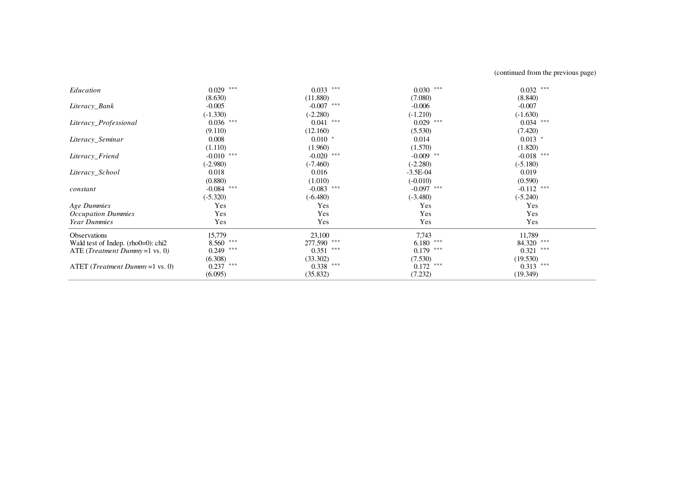(continued from the previous page)

| Education                                  | $0.029$ ***  | $0.033$ ***  | $0.030$ ***  | $0.032$ ***  |  |
|--------------------------------------------|--------------|--------------|--------------|--------------|--|
|                                            | (8.630)      | (11.880)     | (7.080)      | (8.840)      |  |
| Literacy_Bank                              | $-0.005$     | $-0.007$ *** | $-0.006$     | $-0.007$     |  |
|                                            | $(-1.330)$   | $(-2.280)$   | $(-1.210)$   | $(-1.630)$   |  |
| Literacy_Professional                      | $0.036$ ***  | $0.041$ ***  | $0.029$ ***  | $0.034$ ***  |  |
|                                            | (9.110)      | (12.160)     | (5.530)      | (7.420)      |  |
| Literacy_Seminar                           | 0.008        | $0.010*$     | 0.014        | $0.013$ *    |  |
|                                            | (1.110)      | (1.960)      | (1.570)      | (1.820)      |  |
| Literacy_Friend                            | $-0.010$ *** | $-0.020$ *** | $-0.009$ **  | $-0.018$ *** |  |
|                                            | $(-2.980)$   | $(-7.460)$   | $(-2.280)$   | $(-5.180)$   |  |
| Literacy_School                            | 0.018        | 0.016        | $-3.5E-04$   | 0.019        |  |
|                                            | (0.880)      | (1.010)      | $(-0.010)$   | (0.590)      |  |
| constant                                   | $-0.084$ *** | $-0.083$ *** | $-0.097$ *** | $-0.112$ *** |  |
|                                            | $(-5.320)$   | $(-6.480)$   | $(-3.480)$   | $(-5.240)$   |  |
| Age Dummies                                | Yes          | Yes          | Yes          | Yes          |  |
| <b>Occupation Dummies</b>                  | Yes          | Yes          | Yes          | Yes          |  |
| <b>Year Dummies</b>                        | Yes          | Yes          | Yes          | Yes          |  |
| <b>Observations</b>                        | 15,779       | 23,100       | 7,743        | 11,789       |  |
| Wald test of Indep. $(rho0=0)$ : chi2      | $8.560$ ***  | 277.590 ***  | $6.180$ ***  | 84.320 ***   |  |
| ATE ( <i>Treatment Dummy</i> = $1$ vs. 0)  | ***<br>0.249 | $0.351$ ***  | $0.179$ ***  | ***<br>0.321 |  |
|                                            | (6.308)      | (33.302)     | (7.530)      | (19.530)     |  |
| ATET ( <i>Treatment Dummy</i> = $1$ vs. 0) | $0.237$ ***  | $0.338$ ***  | $0.172$ ***  | $0.313$ ***  |  |
|                                            | (6.095)      | (35.832)     | (7.232)      | (19.349)     |  |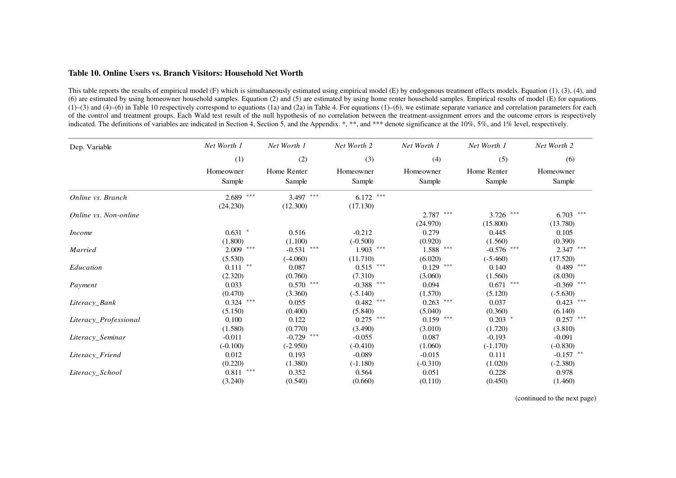# **Table 10. Online Users vs. Branch Visitors: Household Net Worth**

This table reports the results of empirical model (F) which is simultaneously estimated using empirical model (E) by endogenous treatment effects models. Equation (1), (3), (4), and (6) are estimated by using homeowner household samples. Equation (2) and (5) are estimated by using home renter household samples. Empirical results of model (E) for equations  $(1)$ –(3) and (4)–(6) in Table 10 respectively correspond to equations (1a) and (2a) in Table 4. For equations (1)–(6), we estimate separate variance and correlation parameters for each of the control and treatment groups. Each Wald test result of the null hypothesis of no correlation between the treatment-assignment errors and the outcome errors is respectively indicated. The definitions of variables are indicated in Section 4, Section 5, and the Appendix. \*, \*\*, and \*\*\* denote significance at the 10%, 5%, and 1% level, respectively.

| Dep. Variable         | Net Worth 1  | Net Worth 1     | Net Worth 2  | Net Worth 1  | Net Worth 1  | Net Worth 2     |
|-----------------------|--------------|-----------------|--------------|--------------|--------------|-----------------|
|                       | (1)          | (2)             | (3)          | (4)          | (5)          | (6)             |
|                       | Homeowner    | Home Renter     | Homeowner    | Homeowner    | Home Renter  | Homeowner       |
|                       | Sample       | Sample          | Sample       | Sample       | Sample       | Sample          |
| Online vs. Branch     | $2.689$ ***  | ***<br>3.497    | $6.172$ ***  |              |              |                 |
|                       | (24.230)     | (12.300)        | (17.130)     |              |              |                 |
| Online vs. Non-online |              |                 |              | ***<br>2.787 | 3.726 ***    | $6.703$ ***     |
|                       |              |                 |              | (24.970)     | (15.800)     | (13.780)        |
| <i>Income</i>         | $0.631$ *    | 0.516           | $-0.212$     | 0.279        | 0.445        | 0.105           |
|                       | (1.800)      | (1.100)         | $(-0.500)$   | (0.920)      | (1.560)      | (0.390)         |
| <b>Married</b>        | $2.009$ ***  | ***<br>$-0.531$ | $1.903$ ***  | $1.588$ ***  | $-0.576$ *** | $2.347$ ***     |
|                       | (5.530)      | $(-4.060)$      | (11.710)     | (6.020)      | $(-5.460)$   | (17.520)        |
| Education             | $0.111$ **   | 0.087           | $0.515$ ***  | $0.129$ ***  | 0.140        | $0.489$ ***     |
|                       | (2.320)      | (0.760)         | (7.310)      | (3.060)      | (1.560)      | (8.030)         |
| Payment               | 0.033        | $***$<br>0.570  | $-0.388$ *** | 0.094        | $0.671$ ***  | ***<br>$-0.369$ |
|                       | (0.470)      | (3.360)         | $(-5.140)$   | (1.570)      | (5.120)      | $(-5.630)$      |
| Literacy_Bank         | ***<br>0.324 | 0.055           | $0.482$ ***  | $0.263$ ***  | 0.037        | $0.423$ ***     |
|                       | (5.150)      | (0.400)         | (5.840)      | (5.040)      | (0.360)      | (6.140)         |
| Literacy Professional | 0.100        | 0.122           | $0.275$ ***  | $0.159$ ***  | $0.203$ *    | $0.257$ ***     |
|                       | (1.580)      | (0.770)         | (3.490)      | (3.010)      | (1.720)      | (3.810)         |
| Literacy Seminar      | $-0.011$     | ***<br>$-0.729$ | $-0.055$     | 0.087        | $-0.193$     | $-0.091$        |
|                       | $(-0.100)$   | $(-2.950)$      | $(-0.410)$   | (1.060)      | $(-1.170)$   | $(-0.830)$      |
| Literacy_Friend       | 0.012        | 0.193           | $-0.089$     | $-0.015$     | 0.111        | $-0.157$ **     |
|                       | (0.220)      | (1.380)         | $(-1.180)$   | $(-0.310)$   | (1.020)      | $(-2.380)$      |
| Literacy_School       | $0.811$ ***  | 0.352           | 0.564        | 0.051        | 0.228        | 0.978           |
|                       | (3.240)      | (0.540)         | (0.660)      | (0.110)      | (0.450)      | (1.460)         |

(continued to the next page)